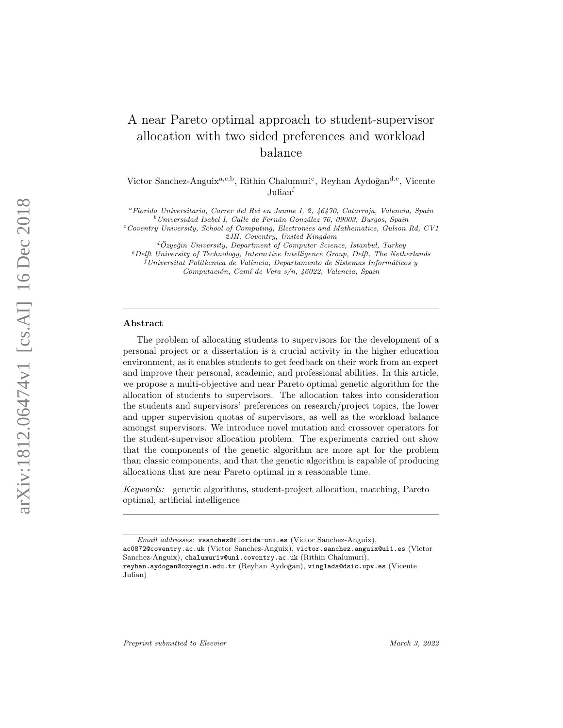# A near Pareto optimal approach to student-supervisor allocation with two sided preferences and workload balance

Victor Sanchez-Anguix<sup>a,c,b</sup>, Rithin Chalumuri<sup>c</sup>, Reyhan Aydoğan<sup>d,e</sup>, Vicente Julian<sup>f</sup>

<sup>a</sup>Florida Universitaria, Carrer del Rei en Jaume I, 2, 46470, Catarroja, Valencia, Spain  $^{b}$ Universidad Isabel I, Calle de Fernán González 76, 09003, Burgos, Spain

 $c$ Coventry University, School of Computing, Electronics and Mathematics, Gulson Rd, CV1 2JH, Coventry, United Kingdom

 $d$ Özyeğin University, Department of Computer Science, Istanbul, Turkey

 $e$ Delft University of Technology, Interactive Intelligence Group, Delft, The Netherlands  ${}^f$ Universitat Politècnica de València, Departamento de Sistemas Informáticos y

Computación, Camí de Vera s/n, 46022, Valencia, Spain

## Abstract

The problem of allocating students to supervisors for the development of a personal project or a dissertation is a crucial activity in the higher education environment, as it enables students to get feedback on their work from an expert and improve their personal, academic, and professional abilities. In this article, we propose a multi-objective and near Pareto optimal genetic algorithm for the allocation of students to supervisors. The allocation takes into consideration the students and supervisors' preferences on research/project topics, the lower and upper supervision quotas of supervisors, as well as the workload balance amongst supervisors. We introduce novel mutation and crossover operators for the student-supervisor allocation problem. The experiments carried out show that the components of the genetic algorithm are more apt for the problem than classic components, and that the genetic algorithm is capable of producing allocations that are near Pareto optimal in a reasonable time.

Keywords: genetic algorithms, student-project allocation, matching, Pareto optimal, artificial intelligence

Email addresses: vsanchez@florida-uni.es (Victor Sanchez-Anguix), ac0872@coventry.ac.uk (Victor Sanchez-Anguix), victor.sanchez.anguix@ui1.es (Victor Sanchez-Anguix), chalumuriv@uni.coventry.ac.uk (Rithin Chalumuri), reyhan.aydogan@ozyegin.edu.tr (Reyhan Aydoğan), vinglada@dsic.upv.es (Vicente Julian)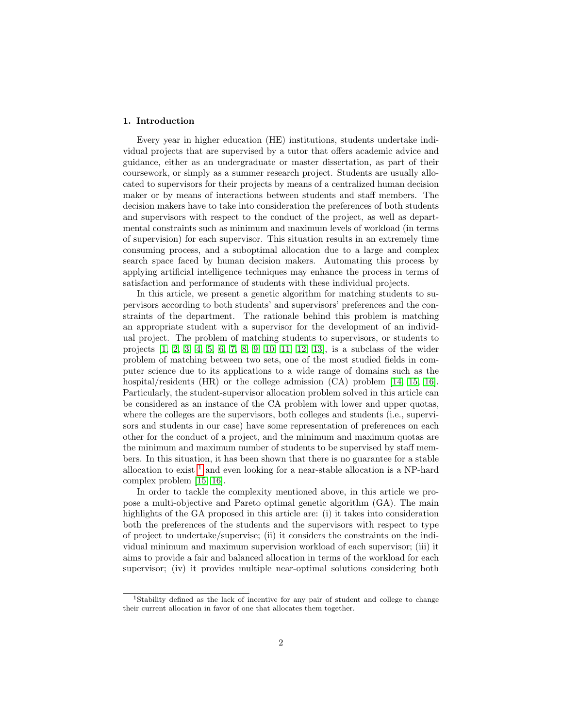# 1. Introduction

Every year in higher education (HE) institutions, students undertake individual projects that are supervised by a tutor that offers academic advice and guidance, either as an undergraduate or master dissertation, as part of their coursework, or simply as a summer research project. Students are usually allocated to supervisors for their projects by means of a centralized human decision maker or by means of interactions between students and staff members. The decision makers have to take into consideration the preferences of both students and supervisors with respect to the conduct of the project, as well as departmental constraints such as minimum and maximum levels of workload (in terms of supervision) for each supervisor. This situation results in an extremely time consuming process, and a suboptimal allocation due to a large and complex search space faced by human decision makers. Automating this process by applying artificial intelligence techniques may enhance the process in terms of satisfaction and performance of students with these individual projects.

In this article, we present a genetic algorithm for matching students to supervisors according to both students' and supervisors' preferences and the constraints of the department. The rationale behind this problem is matching an appropriate student with a supervisor for the development of an individual project. The problem of matching students to supervisors, or students to projects [\[1,](#page-31-0) [2,](#page-31-1) [3,](#page-31-2) [4,](#page-32-0) [5,](#page-32-1) [6,](#page-32-2) [7,](#page-32-3) [8,](#page-32-4) [9,](#page-32-5) [10,](#page-32-6) [11,](#page-32-7) [12,](#page-32-8) [13\]](#page-32-9), is a subclass of the wider problem of matching between two sets, one of the most studied fields in computer science due to its applications to a wide range of domains such as the hospital/residents (HR) or the college admission (CA) problem [\[14,](#page-32-10) [15,](#page-32-11) [16\]](#page-32-12). Particularly, the student-supervisor allocation problem solved in this article can be considered as an instance of the CA problem with lower and upper quotas, where the colleges are the supervisors, both colleges and students (i.e., supervisors and students in our case) have some representation of preferences on each other for the conduct of a project, and the minimum and maximum quotas are the minimum and maximum number of students to be supervised by staff members. In this situation, it has been shown that there is no guarantee for a stable allocation to exist  $<sup>1</sup>$  $<sup>1</sup>$  $<sup>1</sup>$  and even looking for a near-stable allocation is a NP-hard</sup> complex problem [\[15,](#page-32-11) [16\]](#page-32-12).

In order to tackle the complexity mentioned above, in this article we propose a multi-objective and Pareto optimal genetic algorithm (GA). The main highlights of the GA proposed in this article are: (i) it takes into consideration both the preferences of the students and the supervisors with respect to type of project to undertake/supervise; (ii) it considers the constraints on the individual minimum and maximum supervision workload of each supervisor; (iii) it aims to provide a fair and balanced allocation in terms of the workload for each supervisor; (iv) it provides multiple near-optimal solutions considering both

<span id="page-1-0"></span><sup>1</sup>Stability defined as the lack of incentive for any pair of student and college to change their current allocation in favor of one that allocates them together.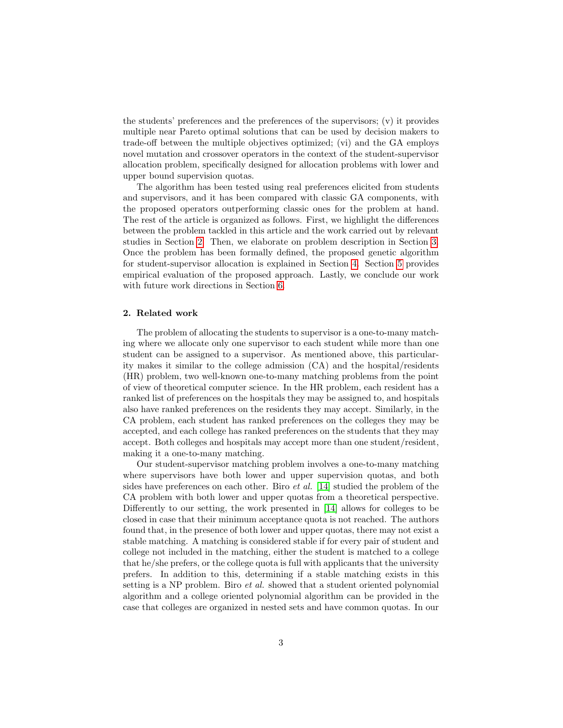the students' preferences and the preferences of the supervisors; (v) it provides multiple near Pareto optimal solutions that can be used by decision makers to trade-off between the multiple objectives optimized; (vi) and the GA employs novel mutation and crossover operators in the context of the student-supervisor allocation problem, specifically designed for allocation problems with lower and upper bound supervision quotas.

The algorithm has been tested using real preferences elicited from students and supervisors, and it has been compared with classic GA components, with the proposed operators outperforming classic ones for the problem at hand. The rest of the article is organized as follows. First, we highlight the differences between the problem tackled in this article and the work carried out by relevant studies in Section [2.](#page-2-0) Then, we elaborate on problem description in Section [3.](#page-6-0) Once the problem has been formally defined, the proposed genetic algorithm for student-supervisor allocation is explained in Section [4.](#page-11-0) Section [5](#page-20-0) provides empirical evaluation of the proposed approach. Lastly, we conclude our work with future work directions in Section [6.](#page-30-0)

# <span id="page-2-0"></span>2. Related work

The problem of allocating the students to supervisor is a one-to-many matching where we allocate only one supervisor to each student while more than one student can be assigned to a supervisor. As mentioned above, this particularity makes it similar to the college admission (CA) and the hospital/residents (HR) problem, two well-known one-to-many matching problems from the point of view of theoretical computer science. In the HR problem, each resident has a ranked list of preferences on the hospitals they may be assigned to, and hospitals also have ranked preferences on the residents they may accept. Similarly, in the CA problem, each student has ranked preferences on the colleges they may be accepted, and each college has ranked preferences on the students that they may accept. Both colleges and hospitals may accept more than one student/resident, making it a one-to-many matching.

Our student-supervisor matching problem involves a one-to-many matching where supervisors have both lower and upper supervision quotas, and both sides have preferences on each other. Biro *et al.* [\[14\]](#page-32-10) studied the problem of the CA problem with both lower and upper quotas from a theoretical perspective. Differently to our setting, the work presented in [\[14\]](#page-32-10) allows for colleges to be closed in case that their minimum acceptance quota is not reached. The authors found that, in the presence of both lower and upper quotas, there may not exist a stable matching. A matching is considered stable if for every pair of student and college not included in the matching, either the student is matched to a college that he/she prefers, or the college quota is full with applicants that the university prefers. In addition to this, determining if a stable matching exists in this setting is a NP problem. Biro et al. showed that a student oriented polynomial algorithm and a college oriented polynomial algorithm can be provided in the case that colleges are organized in nested sets and have common quotas. In our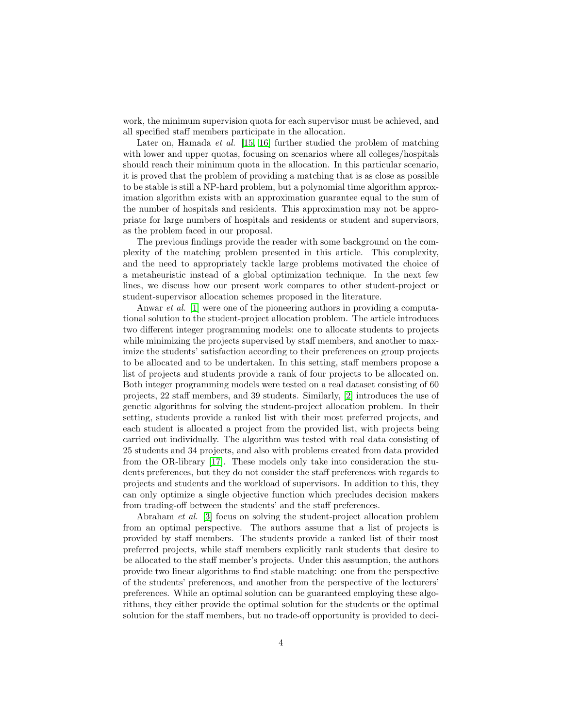work, the minimum supervision quota for each supervisor must be achieved, and all specified staff members participate in the allocation.

Later on, Hamada *et al.* [\[15,](#page-32-11) [16\]](#page-32-12) further studied the problem of matching with lower and upper quotas, focusing on scenarios where all colleges/hospitals should reach their minimum quota in the allocation. In this particular scenario, it is proved that the problem of providing a matching that is as close as possible to be stable is still a NP-hard problem, but a polynomial time algorithm approximation algorithm exists with an approximation guarantee equal to the sum of the number of hospitals and residents. This approximation may not be appropriate for large numbers of hospitals and residents or student and supervisors, as the problem faced in our proposal.

The previous findings provide the reader with some background on the complexity of the matching problem presented in this article. This complexity, and the need to appropriately tackle large problems motivated the choice of a metaheuristic instead of a global optimization technique. In the next few lines, we discuss how our present work compares to other student-project or student-supervisor allocation schemes proposed in the literature.

Anwar *et al.* [\[1\]](#page-31-0) were one of the pioneering authors in providing a computational solution to the student-project allocation problem. The article introduces two different integer programming models: one to allocate students to projects while minimizing the projects supervised by staff members, and another to maximize the students' satisfaction according to their preferences on group projects to be allocated and to be undertaken. In this setting, staff members propose a list of projects and students provide a rank of four projects to be allocated on. Both integer programming models were tested on a real dataset consisting of 60 projects, 22 staff members, and 39 students. Similarly, [\[2\]](#page-31-1) introduces the use of genetic algorithms for solving the student-project allocation problem. In their setting, students provide a ranked list with their most preferred projects, and each student is allocated a project from the provided list, with projects being carried out individually. The algorithm was tested with real data consisting of 25 students and 34 projects, and also with problems created from data provided from the OR-library [\[17\]](#page-33-0). These models only take into consideration the students preferences, but they do not consider the staff preferences with regards to projects and students and the workload of supervisors. In addition to this, they can only optimize a single objective function which precludes decision makers from trading-off between the students' and the staff preferences.

Abraham et al. [\[3\]](#page-31-2) focus on solving the student-project allocation problem from an optimal perspective. The authors assume that a list of projects is provided by staff members. The students provide a ranked list of their most preferred projects, while staff members explicitly rank students that desire to be allocated to the staff member's projects. Under this assumption, the authors provide two linear algorithms to find stable matching: one from the perspective of the students' preferences, and another from the perspective of the lecturers' preferences. While an optimal solution can be guaranteed employing these algorithms, they either provide the optimal solution for the students or the optimal solution for the staff members, but no trade-off opportunity is provided to deci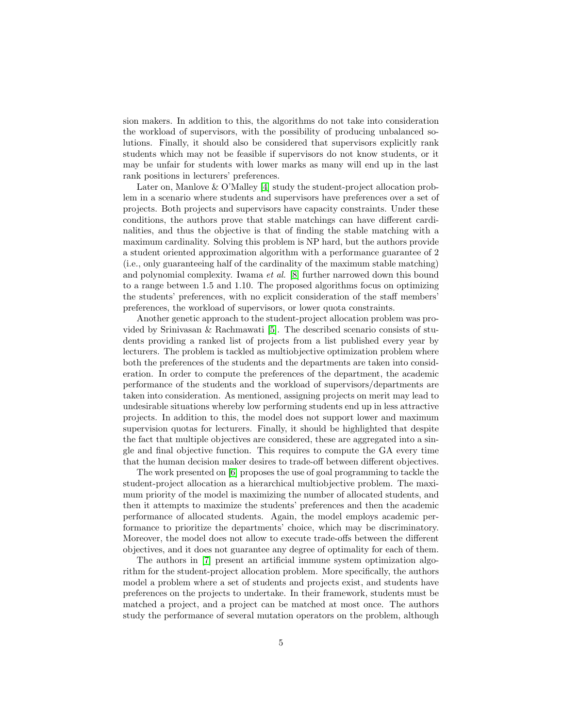sion makers. In addition to this, the algorithms do not take into consideration the workload of supervisors, with the possibility of producing unbalanced solutions. Finally, it should also be considered that supervisors explicitly rank students which may not be feasible if supervisors do not know students, or it may be unfair for students with lower marks as many will end up in the last rank positions in lecturers' preferences.

Later on, Manlove & O'Malley [\[4\]](#page-32-0) study the student-project allocation problem in a scenario where students and supervisors have preferences over a set of projects. Both projects and supervisors have capacity constraints. Under these conditions, the authors prove that stable matchings can have different cardinalities, and thus the objective is that of finding the stable matching with a maximum cardinality. Solving this problem is NP hard, but the authors provide a student oriented approximation algorithm with a performance guarantee of 2 (i.e., only guaranteeing half of the cardinality of the maximum stable matching) and polynomial complexity. Iwama et al. [\[8\]](#page-32-4) further narrowed down this bound to a range between 1.5 and 1.10. The proposed algorithms focus on optimizing the students' preferences, with no explicit consideration of the staff members' preferences, the workload of supervisors, or lower quota constraints.

Another genetic approach to the student-project allocation problem was provided by Srinivasan & Rachmawati [\[5\]](#page-32-1). The described scenario consists of students providing a ranked list of projects from a list published every year by lecturers. The problem is tackled as multiobjective optimization problem where both the preferences of the students and the departments are taken into consideration. In order to compute the preferences of the department, the academic performance of the students and the workload of supervisors/departments are taken into consideration. As mentioned, assigning projects on merit may lead to undesirable situations whereby low performing students end up in less attractive projects. In addition to this, the model does not support lower and maximum supervision quotas for lecturers. Finally, it should be highlighted that despite the fact that multiple objectives are considered, these are aggregated into a single and final objective function. This requires to compute the GA every time that the human decision maker desires to trade-off between different objectives.

The work presented on [\[6\]](#page-32-2) proposes the use of goal programming to tackle the student-project allocation as a hierarchical multiobjective problem. The maximum priority of the model is maximizing the number of allocated students, and then it attempts to maximize the students' preferences and then the academic performance of allocated students. Again, the model employs academic performance to prioritize the departments' choice, which may be discriminatory. Moreover, the model does not allow to execute trade-offs between the different objectives, and it does not guarantee any degree of optimality for each of them.

The authors in [\[7\]](#page-32-3) present an artificial immune system optimization algorithm for the student-project allocation problem. More specifically, the authors model a problem where a set of students and projects exist, and students have preferences on the projects to undertake. In their framework, students must be matched a project, and a project can be matched at most once. The authors study the performance of several mutation operators on the problem, although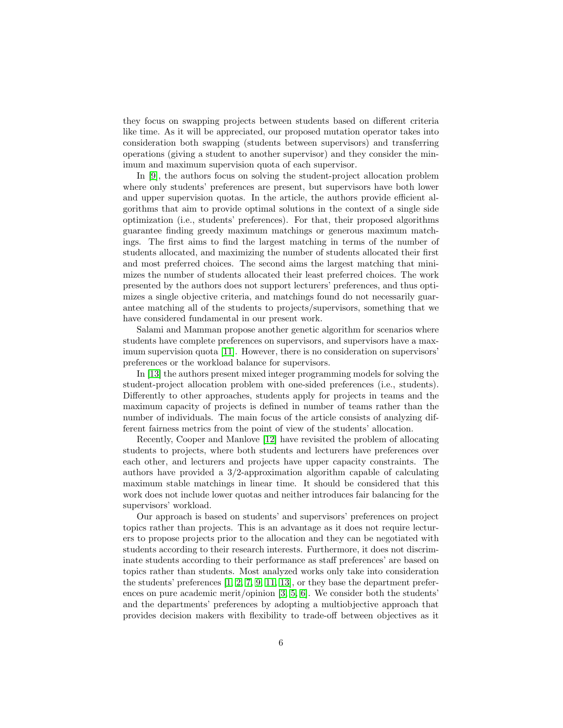they focus on swapping projects between students based on different criteria like time. As it will be appreciated, our proposed mutation operator takes into consideration both swapping (students between supervisors) and transferring operations (giving a student to another supervisor) and they consider the minimum and maximum supervision quota of each supervisor.

In [\[9\]](#page-32-5), the authors focus on solving the student-project allocation problem where only students' preferences are present, but supervisors have both lower and upper supervision quotas. In the article, the authors provide efficient algorithms that aim to provide optimal solutions in the context of a single side optimization (i.e., students' preferences). For that, their proposed algorithms guarantee finding greedy maximum matchings or generous maximum matchings. The first aims to find the largest matching in terms of the number of students allocated, and maximizing the number of students allocated their first and most preferred choices. The second aims the largest matching that minimizes the number of students allocated their least preferred choices. The work presented by the authors does not support lecturers' preferences, and thus optimizes a single objective criteria, and matchings found do not necessarily guarantee matching all of the students to projects/supervisors, something that we have considered fundamental in our present work.

Salami and Mamman propose another genetic algorithm for scenarios where students have complete preferences on supervisors, and supervisors have a maximum supervision quota [\[11\]](#page-32-7). However, there is no consideration on supervisors' preferences or the workload balance for supervisors.

In [\[13\]](#page-32-9) the authors present mixed integer programming models for solving the student-project allocation problem with one-sided preferences (i.e., students). Differently to other approaches, students apply for projects in teams and the maximum capacity of projects is defined in number of teams rather than the number of individuals. The main focus of the article consists of analyzing different fairness metrics from the point of view of the students' allocation.

Recently, Cooper and Manlove [\[12\]](#page-32-8) have revisited the problem of allocating students to projects, where both students and lecturers have preferences over each other, and lecturers and projects have upper capacity constraints. The authors have provided a 3/2-approximation algorithm capable of calculating maximum stable matchings in linear time. It should be considered that this work does not include lower quotas and neither introduces fair balancing for the supervisors' workload.

Our approach is based on students' and supervisors' preferences on project topics rather than projects. This is an advantage as it does not require lecturers to propose projects prior to the allocation and they can be negotiated with students according to their research interests. Furthermore, it does not discriminate students according to their performance as staff preferences' are based on topics rather than students. Most analyzed works only take into consideration the students' preferences [\[1,](#page-31-0) [2,](#page-31-1) [7,](#page-32-3) [9,](#page-32-5) [11,](#page-32-7) [13\]](#page-32-9), or they base the department preferences on pure academic merit/opinion [\[3,](#page-31-2) [5,](#page-32-1) [6\]](#page-32-2). We consider both the students' and the departments' preferences by adopting a multiobjective approach that provides decision makers with flexibility to trade-off between objectives as it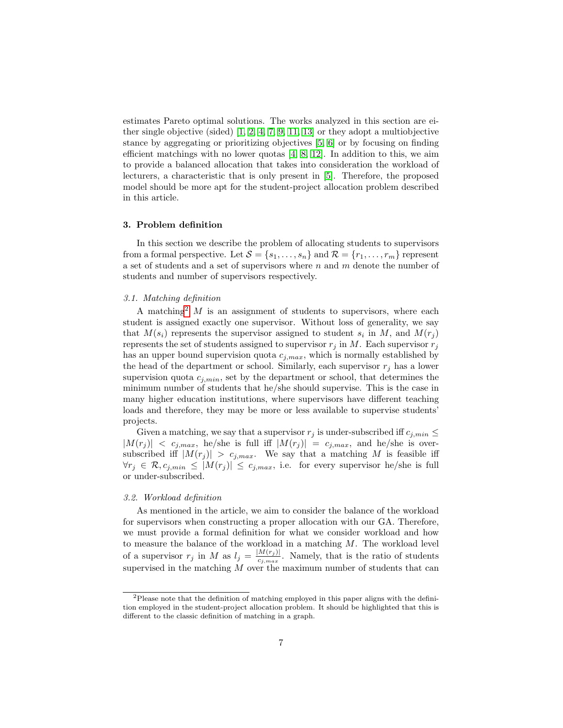estimates Pareto optimal solutions. The works analyzed in this section are either single objective (sided) [\[1,](#page-31-0) [2,](#page-31-1) [4,](#page-32-0) [7,](#page-32-3) [9,](#page-32-5) [11,](#page-32-7) [13\]](#page-32-9) or they adopt a multiobjective stance by aggregating or prioritizing objectives [\[5,](#page-32-1) [6\]](#page-32-2) or by focusing on finding efficient matchings with no lower quotas [\[4,](#page-32-0) [8,](#page-32-4) [12\]](#page-32-8). In addition to this, we aim to provide a balanced allocation that takes into consideration the workload of lecturers, a characteristic that is only present in [\[5\]](#page-32-1). Therefore, the proposed model should be more apt for the student-project allocation problem described in this article.

#### <span id="page-6-0"></span>3. Problem definition

In this section we describe the problem of allocating students to supervisors from a formal perspective. Let  $S = \{s_1, \ldots, s_n\}$  and  $\mathcal{R} = \{r_1, \ldots, r_m\}$  represent a set of students and a set of supervisors where  $n$  and  $m$  denote the number of students and number of supervisors respectively.

# 3.1. Matching definition

A matching<sup>[2](#page-6-1)</sup>  $M$  is an assignment of students to supervisors, where each student is assigned exactly one supervisor. Without loss of generality, we say that  $M(s_i)$  represents the supervisor assigned to student  $s_i$  in M, and  $M(r_j)$ represents the set of students assigned to supervisor  $r_j$  in M. Each supervisor  $r_j$ has an upper bound supervision quota  $c_{j,max}$ , which is normally established by the head of the department or school. Similarly, each supervisor  $r_i$  has a lower supervision quota  $c_{j,min}$ , set by the department or school, that determines the minimum number of students that he/she should supervise. This is the case in many higher education institutions, where supervisors have different teaching loads and therefore, they may be more or less available to supervise students' projects.

Given a matching, we say that a supervisor  $r_j$  is under-subscribed iff  $c_{j,min} \leq$  $|M(r_j)| \leq c_{j,max}$ , he/she is full iff  $|M(r_j)| = c_{j,max}$ , and he/she is oversubscribed if  $|M(r_j)| > c_{j,max}$ . We say that a matching M is feasible iff  $\forall r_j \in \mathcal{R}, c_{j,min} \leq |M(r_j)| \leq c_{j,max}$ , i.e. for every supervisor he/she is full or under-subscribed.

## 3.2. Workload definition

As mentioned in the article, we aim to consider the balance of the workload for supervisors when constructing a proper allocation with our GA. Therefore, we must provide a formal definition for what we consider workload and how to measure the balance of the workload in a matching M. The workload level of a supervisor  $r_j$  in M as  $l_j = \frac{|M(r_j)|}{C_j}$  $\frac{M(r_j)}{c_{j,max}}$ . Namely, that is the ratio of students supervised in the matching  $M$  over the maximum number of students that can

<span id="page-6-1"></span><sup>2</sup>Please note that the definition of matching employed in this paper aligns with the definition employed in the student-project allocation problem. It should be highlighted that this is different to the classic definition of matching in a graph.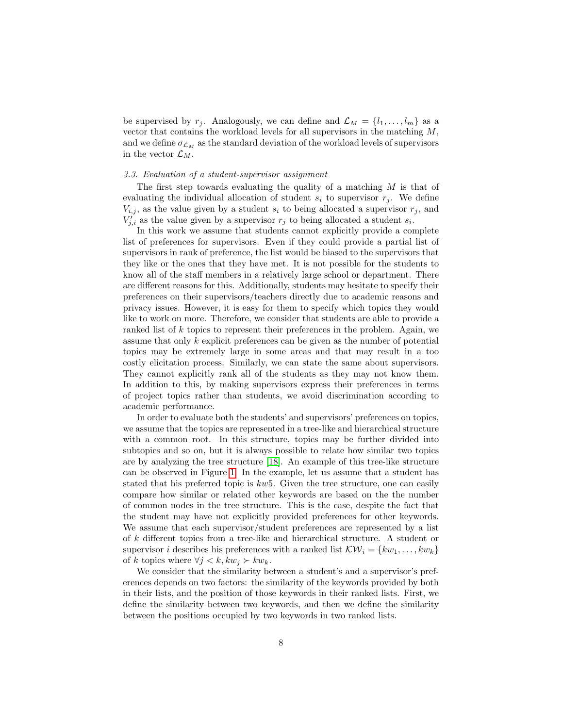be supervised by  $r_j$ . Analogously, we can define and  $\mathcal{L}_M = \{l_1, \ldots, l_m\}$  as a vector that contains the workload levels for all supervisors in the matching  $M$ , and we define  $\sigma_{\mathcal{L}_M}$  as the standard deviation of the workload levels of supervisors in the vector  $\mathcal{L}_M$ .

#### 3.3. Evaluation of a student-supervisor assignment

The first step towards evaluating the quality of a matching  $M$  is that of evaluating the individual allocation of student  $s_i$  to supervisor  $r_i$ . We define  $V_{i,j}$ , as the value given by a student  $s_i$  to being allocated a supervisor  $r_j$ , and  $V'_{j,i}$  as the value given by a supervisor  $r_j$  to being allocated a student  $s_i$ .

In this work we assume that students cannot explicitly provide a complete list of preferences for supervisors. Even if they could provide a partial list of supervisors in rank of preference, the list would be biased to the supervisors that they like or the ones that they have met. It is not possible for the students to know all of the staff members in a relatively large school or department. There are different reasons for this. Additionally, students may hesitate to specify their preferences on their supervisors/teachers directly due to academic reasons and privacy issues. However, it is easy for them to specify which topics they would like to work on more. Therefore, we consider that students are able to provide a ranked list of k topics to represent their preferences in the problem. Again, we assume that only  $k$  explicit preferences can be given as the number of potential topics may be extremely large in some areas and that may result in a too costly elicitation process. Similarly, we can state the same about supervisors. They cannot explicitly rank all of the students as they may not know them. In addition to this, by making supervisors express their preferences in terms of project topics rather than students, we avoid discrimination according to academic performance.

In order to evaluate both the students' and supervisors' preferences on topics, we assume that the topics are represented in a tree-like and hierarchical structure with a common root. In this structure, topics may be further divided into subtopics and so on, but it is always possible to relate how similar two topics are by analyzing the tree structure [\[18\]](#page-33-1). An example of this tree-like structure can be observed in Figure [1.](#page-8-0) In the example, let us assume that a student has stated that his preferred topic is kw5. Given the tree structure, one can easily compare how similar or related other keywords are based on the the number of common nodes in the tree structure. This is the case, despite the fact that the student may have not explicitly provided preferences for other keywords. We assume that each supervisor/student preferences are represented by a list of k different topics from a tree-like and hierarchical structure. A student or supervisor *i* describes his preferences with a ranked list  $\mathcal{KW}_i = \{kw_1, \ldots, kw_k\}$ of k topics where  $\forall j \leq k, kw_j \succ kw_k$ .

We consider that the similarity between a student's and a supervisor's preferences depends on two factors: the similarity of the keywords provided by both in their lists, and the position of those keywords in their ranked lists. First, we define the similarity between two keywords, and then we define the similarity between the positions occupied by two keywords in two ranked lists.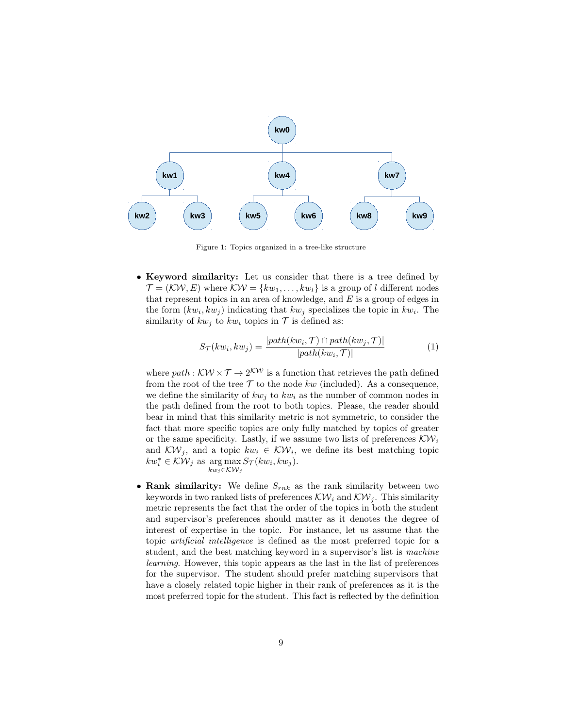<span id="page-8-0"></span>

Figure 1: Topics organized in a tree-like structure

• Keyword similarity: Let us consider that there is a tree defined by  $\mathcal{T} = (\mathcal{KW}, E)$  where  $\mathcal{KW} = \{kw_1, \ldots, kw_l\}$  is a group of l different nodes that represent topics in an area of knowledge, and  $E$  is a group of edges in the form  $(kw_i, kw_j)$  indicating that  $kw_j$  specializes the topic in  $kw_i$ . The similarity of  $kw_i$  to  $kw_i$  topics in  $\mathcal T$  is defined as:

$$
S_{\mathcal{T}}(kw_i, kw_j) = \frac{|path(kw_i, \mathcal{T}) \cap path(kw_j, \mathcal{T})|}{|path(kw_i, \mathcal{T})|}
$$
(1)

where  $path : \mathcal{KW} \times \mathcal{T} \to 2^{\mathcal{KW}}$  is a function that retrieves the path defined from the root of the tree  $\mathcal T$  to the node  $kw$  (included). As a consequence, we define the similarity of  $kw_i$  to  $kw_i$  as the number of common nodes in the path defined from the root to both topics. Please, the reader should bear in mind that this similarity metric is not symmetric, to consider the fact that more specific topics are only fully matched by topics of greater or the same specificity. Lastly, if we assume two lists of preferences  $\mathcal{KW}_i$ and  $\mathcal{KW}_j$ , and a topic  $kw_i \in \mathcal{KW}_i$ , we define its best matching topic  $kw_i^* \in \mathcal{KW}_j$  as  $\arg\max S_{\mathcal{T}}(kw_i, kw_j).$  $kw_j \in \mathcal{KW}_j$ 

• Rank similarity: We define  $S_{rnk}$  as the rank similarity between two keywords in two ranked lists of preferences  $\mathcal{KW}_i$  and  $\mathcal{KW}_i$ . This similarity metric represents the fact that the order of the topics in both the student and supervisor's preferences should matter as it denotes the degree of interest of expertise in the topic. For instance, let us assume that the topic artificial intelligence is defined as the most preferred topic for a student, and the best matching keyword in a supervisor's list is machine learning. However, this topic appears as the last in the list of preferences for the supervisor. The student should prefer matching supervisors that have a closely related topic higher in their rank of preferences as it is the most preferred topic for the student. This fact is reflected by the definition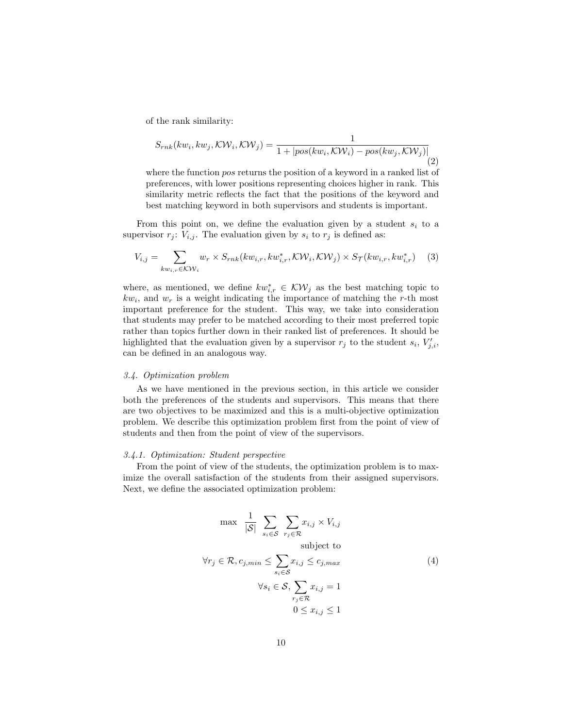of the rank similarity:

$$
S_{rnk}(kw_i, kw_j, \mathcal{KW}_i, \mathcal{KW}_j) = \frac{1}{1 + |pos(kw_i, \mathcal{KW}_i) - pos(kw_j, \mathcal{KW}_j)|} \tag{2}
$$

where the function pos returns the position of a keyword in a ranked list of preferences, with lower positions representing choices higher in rank. This similarity metric reflects the fact that the positions of the keyword and best matching keyword in both supervisors and students is important.

From this point on, we define the evaluation given by a student  $s_i$  to a supervisor  $r_j$ :  $V_{i,j}$ . The evaluation given by  $s_i$  to  $r_j$  is defined as:

$$
V_{i,j} = \sum_{kw_{i,r} \in \mathcal{KW}_i} w_r \times S_{rnk}(kw_{i,r}, kw_{i,r}^*, \mathcal{KW}_i, \mathcal{KW}_j) \times S_{\mathcal{T}}(kw_{i,r}, kw_{i,r}^*) \tag{3}
$$

where, as mentioned, we define  $kw_{i,r}^* \in \mathcal{KW}_j$  as the best matching topic to  $kw_i$ , and  $w_r$  is a weight indicating the importance of matching the r-th most important preference for the student. This way, we take into consideration that students may prefer to be matched according to their most preferred topic rather than topics further down in their ranked list of preferences. It should be highlighted that the evaluation given by a supervisor  $r_j$  to the student  $s_i$ ,  $V'_{j,i}$ , can be defined in an analogous way.

#### 3.4. Optimization problem

As we have mentioned in the previous section, in this article we consider both the preferences of the students and supervisors. This means that there are two objectives to be maximized and this is a multi-objective optimization problem. We describe this optimization problem first from the point of view of students and then from the point of view of the supervisors.

#### 3.4.1. Optimization: Student perspective

From the point of view of the students, the optimization problem is to maximize the overall satisfaction of the students from their assigned supervisors. Next, we define the associated optimization problem:

$$
\max \frac{1}{|\mathcal{S}|} \sum_{s_i \in \mathcal{S}} \sum_{r_j \in \mathcal{R}} x_{i,j} \times V_{i,j}
$$
\nsubject to\n
$$
\forall r_j \in \mathcal{R}, c_{j,min} \leq \sum_{s_i \in \mathcal{S}} x_{i,j} \leq c_{j,max}
$$
\n
$$
\forall s_i \in \mathcal{S}, \sum_{r_j \in \mathcal{R}} x_{i,j} = 1
$$
\n
$$
0 \leq x_{i,j} \leq 1
$$
\n(4)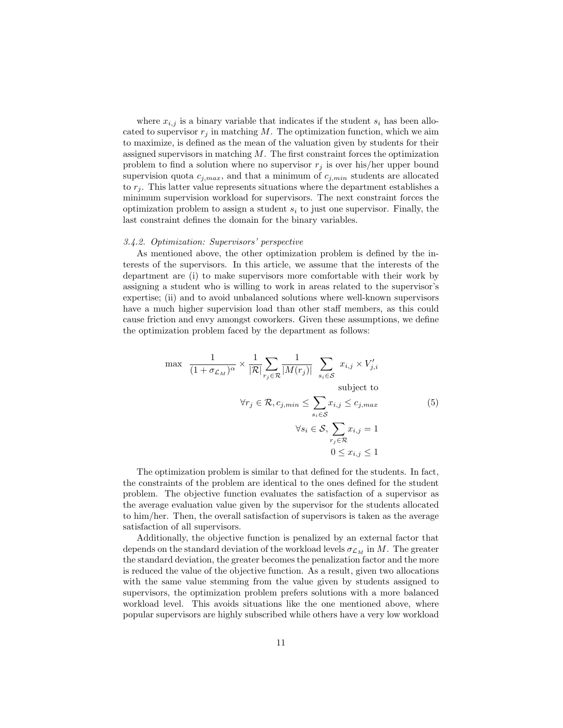where  $x_{i,j}$  is a binary variable that indicates if the student  $s_i$  has been allocated to supervisor  $r_j$  in matching M. The optimization function, which we aim to maximize, is defined as the mean of the valuation given by students for their assigned supervisors in matching  $M$ . The first constraint forces the optimization problem to find a solution where no supervisor  $r_i$  is over his/her upper bound supervision quota  $c_{j,max}$ , and that a minimum of  $c_{j,min}$  students are allocated to  $r_i$ . This latter value represents situations where the department establishes a minimum supervision workload for supervisors. The next constraint forces the optimization problem to assign a student  $s_i$  to just one supervisor. Finally, the last constraint defines the domain for the binary variables.

## 3.4.2. Optimization: Supervisors' perspective

As mentioned above, the other optimization problem is defined by the interests of the supervisors. In this article, we assume that the interests of the department are (i) to make supervisors more comfortable with their work by assigning a student who is willing to work in areas related to the supervisor's expertise; (ii) and to avoid unbalanced solutions where well-known supervisors have a much higher supervision load than other staff members, as this could cause friction and envy amongst coworkers. Given these assumptions, we define the optimization problem faced by the department as follows:

$$
\max \frac{1}{(1 + \sigma_{\mathcal{L}_M})^{\alpha}} \times \frac{1}{|\mathcal{R}|} \sum_{r_j \in \mathcal{R}} \frac{1}{|M(r_j)|} \sum_{s_i \in \mathcal{S}} x_{i,j} \times V'_{j,i}
$$
\nsubject to\n
$$
\forall r_j \in \mathcal{R}, c_{j,min} \leq \sum_{s_i \in \mathcal{S}} x_{i,j} \leq c_{j,max}
$$
\n
$$
\forall s_i \in \mathcal{S}, \sum_{r_j \in \mathcal{R}} x_{i,j} = 1
$$
\n
$$
0 \leq x_{i,j} \leq 1
$$
\n(5)

The optimization problem is similar to that defined for the students. In fact, the constraints of the problem are identical to the ones defined for the student problem. The objective function evaluates the satisfaction of a supervisor as the average evaluation value given by the supervisor for the students allocated to him/her. Then, the overall satisfaction of supervisors is taken as the average satisfaction of all supervisors.

Additionally, the objective function is penalized by an external factor that depends on the standard deviation of the workload levels  $\sigma_{\mathcal{L}_M}$  in M. The greater the standard deviation, the greater becomes the penalization factor and the more is reduced the value of the objective function. As a result, given two allocations with the same value stemming from the value given by students assigned to supervisors, the optimization problem prefers solutions with a more balanced workload level. This avoids situations like the one mentioned above, where popular supervisors are highly subscribed while others have a very low workload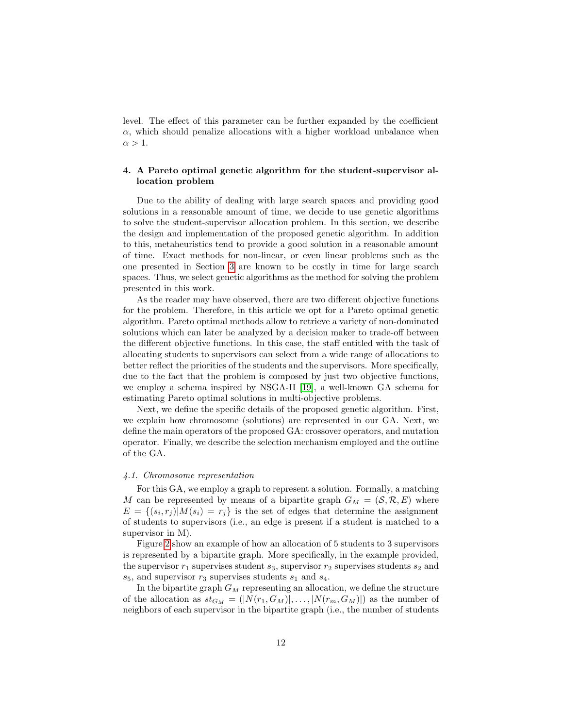level. The effect of this parameter can be further expanded by the coefficient  $\alpha$ , which should penalize allocations with a higher workload unbalance when  $\alpha > 1$ .

# <span id="page-11-0"></span>4. A Pareto optimal genetic algorithm for the student-supervisor allocation problem

Due to the ability of dealing with large search spaces and providing good solutions in a reasonable amount of time, we decide to use genetic algorithms to solve the student-supervisor allocation problem. In this section, we describe the design and implementation of the proposed genetic algorithm. In addition to this, metaheuristics tend to provide a good solution in a reasonable amount of time. Exact methods for non-linear, or even linear problems such as the one presented in Section [3](#page-6-0) are known to be costly in time for large search spaces. Thus, we select genetic algorithms as the method for solving the problem presented in this work.

As the reader may have observed, there are two different objective functions for the problem. Therefore, in this article we opt for a Pareto optimal genetic algorithm. Pareto optimal methods allow to retrieve a variety of non-dominated solutions which can later be analyzed by a decision maker to trade-off between the different objective functions. In this case, the staff entitled with the task of allocating students to supervisors can select from a wide range of allocations to better reflect the priorities of the students and the supervisors. More specifically, due to the fact that the problem is composed by just two objective functions, we employ a schema inspired by NSGA-II [\[19\]](#page-33-2), a well-known GA schema for estimating Pareto optimal solutions in multi-objective problems.

Next, we define the specific details of the proposed genetic algorithm. First, we explain how chromosome (solutions) are represented in our GA. Next, we define the main operators of the proposed GA: crossover operators, and mutation operator. Finally, we describe the selection mechanism employed and the outline of the GA.

# 4.1. Chromosome representation

For this GA, we employ a graph to represent a solution. Formally, a matching M can be represented by means of a bipartite graph  $G_M = (\mathcal{S}, \mathcal{R}, E)$  where  $E = \{(s_i, r_j) | M(s_i) = r_j\}$  is the set of edges that determine the assignment of students to supervisors (i.e., an edge is present if a student is matched to a supervisor in M).

Figure [2](#page-12-0) show an example of how an allocation of 5 students to 3 supervisors is represented by a bipartite graph. More specifically, in the example provided, the supervisor  $r_1$  supervises student  $s_3$ , supervisor  $r_2$  supervises students  $s_2$  and  $s_5$ , and supervisor  $r_3$  supervises students  $s_1$  and  $s_4$ .

In the bipartite graph  $G_M$  representing an allocation, we define the structure of the allocation as  $st_{G_M} = (|N(r_1, G_M)|, \ldots, |N(r_m, G_M)|)$  as the number of neighbors of each supervisor in the bipartite graph (i.e., the number of students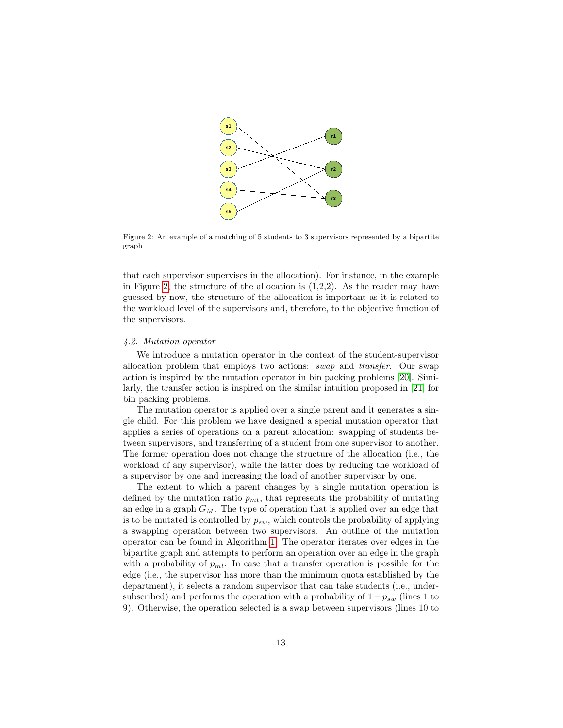<span id="page-12-0"></span>

Figure 2: An example of a matching of 5 students to 3 supervisors represented by a bipartite graph

that each supervisor supervises in the allocation). For instance, in the example in Figure [2,](#page-12-0) the structure of the allocation is  $(1,2,2)$ . As the reader may have guessed by now, the structure of the allocation is important as it is related to the workload level of the supervisors and, therefore, to the objective function of the supervisors.

#### 4.2. Mutation operator

We introduce a mutation operator in the context of the student-supervisor allocation problem that employs two actions: swap and transfer. Our swap action is inspired by the mutation operator in bin packing problems [\[20\]](#page-33-3). Similarly, the transfer action is inspired on the similar intuition proposed in [\[21\]](#page-33-4) for bin packing problems.

The mutation operator is applied over a single parent and it generates a single child. For this problem we have designed a special mutation operator that applies a series of operations on a parent allocation: swapping of students between supervisors, and transferring of a student from one supervisor to another. The former operation does not change the structure of the allocation (i.e., the workload of any supervisor), while the latter does by reducing the workload of a supervisor by one and increasing the load of another supervisor by one.

The extent to which a parent changes by a single mutation operation is defined by the mutation ratio  $p_{mt}$ , that represents the probability of mutating an edge in a graph  $G_M$ . The type of operation that is applied over an edge that is to be mutated is controlled by  $p_{sw}$ , which controls the probability of applying a swapping operation between two supervisors. An outline of the mutation operator can be found in Algorithm [1.](#page-13-0) The operator iterates over edges in the bipartite graph and attempts to perform an operation over an edge in the graph with a probability of  $p_{mt}$ . In case that a transfer operation is possible for the edge (i.e., the supervisor has more than the minimum quota established by the department), it selects a random supervisor that can take students (i.e., undersubscribed) and performs the operation with a probability of  $1 - p_{sw}$  (lines 1 to 9). Otherwise, the operation selected is a swap between supervisors (lines 10 to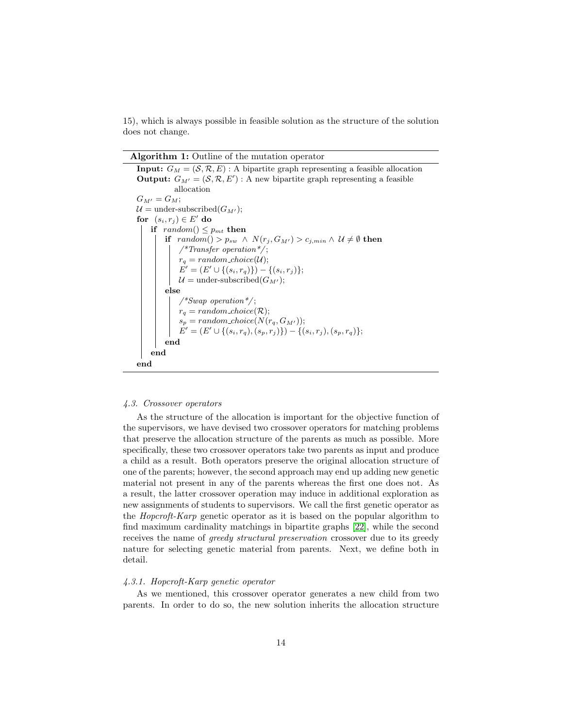15), which is always possible in feasible solution as the structure of the solution does not change.

# Algorithm 1: Outline of the mutation operator

**Input:**  $G_M = (\mathcal{S}, \mathcal{R}, E)$ : A bipartite graph representing a feasible allocation **Output:**  $G_{M'} = (\mathcal{S}, \mathcal{R}, E')$ : A new bipartite graph representing a feasible allocation  $G_{M'} = G_M;$  $\mathcal{U} =$  under-subscribed $(G_{M'})$ ; for  $(s_i, r_j) \in E'$  do if  $random() \leq p_{mt}$  then if  $random() > p_{sw} \land N(r_i, G_{M'}) > c_{i,min} \land U \neq \emptyset$  then  $/* Transfer operation */$  $r_q = random\_choice(\mathcal{U});$  $E' = (E' \cup \{(s_i, r_q)\}) - \{(s_i, r_j)\};$  $\mathcal{U} =$  under-subscribed $(G_{M'})$ ; else  $/* Swap operation * /$ ;  $r_q = random\_choice(\mathcal{R});$  $s_p = random\_choice(N(r_q, G_{M'}));$  $E' = (E' \cup \{(s_i, r_q), (s_p, r_j)\}) - \{(s_i, r_j), (s_p, r_q)\};$ end end end

## <span id="page-13-1"></span><span id="page-13-0"></span>4.3. Crossover operators

As the structure of the allocation is important for the objective function of the supervisors, we have devised two crossover operators for matching problems that preserve the allocation structure of the parents as much as possible. More specifically, these two crossover operators take two parents as input and produce a child as a result. Both operators preserve the original allocation structure of one of the parents; however, the second approach may end up adding new genetic material not present in any of the parents whereas the first one does not. As a result, the latter crossover operation may induce in additional exploration as new assignments of students to supervisors. We call the first genetic operator as the Hopcroft-Karp genetic operator as it is based on the popular algorithm to find maximum cardinality matchings in bipartite graphs [\[22\]](#page-33-5), while the second receives the name of greedy structural preservation crossover due to its greedy nature for selecting genetic material from parents. Next, we define both in detail.

# 4.3.1. Hopcroft-Karp genetic operator

As we mentioned, this crossover operator generates a new child from two parents. In order to do so, the new solution inherits the allocation structure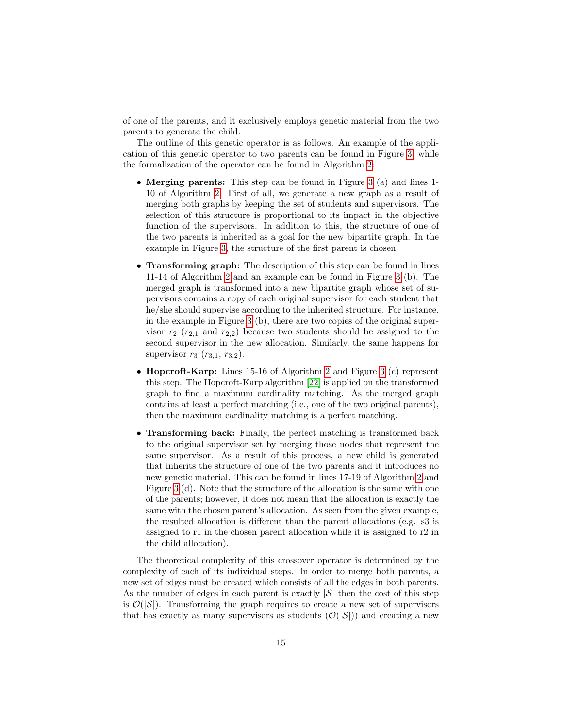of one of the parents, and it exclusively employs genetic material from the two parents to generate the child.

The outline of this genetic operator is as follows. An example of the application of this genetic operator to two parents can be found in Figure [3,](#page-16-0) while the formalization of the operator can be found in Algorithm [2:](#page-15-0)

- Merging parents: This step can be found in Figure [3](#page-16-0) (a) and lines 1- 10 of Algorithm [2.](#page-15-0) First of all, we generate a new graph as a result of merging both graphs by keeping the set of students and supervisors. The selection of this structure is proportional to its impact in the objective function of the supervisors. In addition to this, the structure of one of the two parents is inherited as a goal for the new bipartite graph. In the example in Figure [3,](#page-16-0) the structure of the first parent is chosen.
- **Transforming graph:** The description of this step can be found in lines 11-14 of Algorithm [2](#page-15-0) and an example can be found in Figure [3](#page-16-0) (b). The merged graph is transformed into a new bipartite graph whose set of supervisors contains a copy of each original supervisor for each student that he/she should supervise according to the inherited structure. For instance, in the example in Figure [3](#page-16-0) (b), there are two copies of the original supervisor  $r_2$  ( $r_{2,1}$  and  $r_{2,2}$ ) because two students should be assigned to the second supervisor in the new allocation. Similarly, the same happens for supervisor  $r_3$   $(r_{3,1}, r_{3,2})$ .
- Hopcroft-Karp: Lines 15-16 of Algorithm [2](#page-15-0) and Figure [3](#page-16-0) (c) represent this step. The Hopcroft-Karp algorithm [\[22\]](#page-33-5) is applied on the transformed graph to find a maximum cardinality matching. As the merged graph contains at least a perfect matching (i.e., one of the two original parents), then the maximum cardinality matching is a perfect matching.
- Transforming back: Finally, the perfect matching is transformed back to the original supervisor set by merging those nodes that represent the same supervisor. As a result of this process, a new child is generated that inherits the structure of one of the two parents and it introduces no new genetic material. This can be found in lines 17-19 of Algorithm [2](#page-15-0) and Figure [3](#page-16-0) (d). Note that the structure of the allocation is the same with one of the parents; however, it does not mean that the allocation is exactly the same with the chosen parent's allocation. As seen from the given example, the resulted allocation is different than the parent allocations (e.g. s3 is assigned to r1 in the chosen parent allocation while it is assigned to r2 in the child allocation).

The theoretical complexity of this crossover operator is determined by the complexity of each of its individual steps. In order to merge both parents, a new set of edges must be created which consists of all the edges in both parents. As the number of edges in each parent is exactly  $|\mathcal{S}|$  then the cost of this step is  $\mathcal{O}(|\mathcal{S}|)$ . Transforming the graph requires to create a new set of supervisors that has exactly as many supervisors as students  $(\mathcal{O}(|\mathcal{S}|))$  and creating a new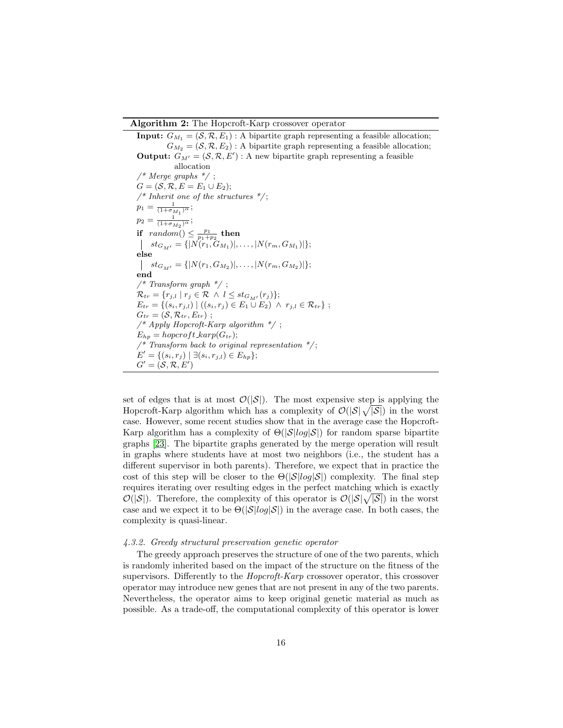#### Algorithm 2: The Hopcroft-Karp crossover operator

**Input:**  $G_{M_1} = (\mathcal{S}, \mathcal{R}, E_1)$ : A bipartite graph representing a feasible allocation;  $G_{M_2} = (\mathcal{S}, \mathcal{R}, E_2)$ : A bipartite graph representing a feasible allocation; **Output:**  $G_{M'} = (\mathcal{S}, \mathcal{R}, E')$ : A new bipartite graph representing a feasible allocation  $/*$  Merge graphs  $*/$ ;  $G = (\mathcal{S}, \mathcal{R}, E = E_1 \cup E_2);$ /\* Inherit one of the structures  $\overline{\phantom{a}}$ /;  $p_1 = \frac{1}{(1+\sigma_{M_1})^{\alpha}};$  $p_2 = \frac{1}{(1+\sigma_{M_2})^{\alpha}};$ if  $\text{random}() \leq \frac{p_1}{p_1 + p_2}$  then  $st_{G_{M'}} = \{ |N(r_1, G_{M_1})|, \ldots, |N(r_m, G_{M_1})| \};$ else  $st_{G_{M'}} = \{ |N(r_1, G_{M_2})|, \ldots, |N(r_m, G_{M_2})| \};$ end  $\frac{1}{2}$  Transform graph  $\frac{k}{2}$ ;  $\mathcal{R}_{tr} = \{r_{j,l} | r_j \in \mathcal{R} \land l \leq st_{G_M}(r_j)\};$  $E_{tr} = \{(s_i, r_{i,l}) \mid ((s_i, r_j) \in E_1 \cup E_2) \land r_{i,l} \in \mathcal{R}_{tr}\}\; ;$  $G_{tr} = (\mathcal{S}, \mathcal{R}_{tr}, E_{tr})$ ;  $\frac{1}{4}$  Apply Hopcroft-Karp algorithm  $\frac{k}{2}$ ;  $E_{hp} = hopcroft\_karp(G_{tr});$  $\frac{1}{2}$  Transform back to original representation  $\frac{1}{2}$ ;  $E' = \{(s_i, r_j) \mid \exists (s_i, r_{j,l}) \in E_{hp}\};$  $G' = (\mathcal{S}, \mathcal{R}, E')$ 

<span id="page-15-0"></span>set of edges that is at most  $\mathcal{O}(|\mathcal{S}|)$ . The most expensive step is applying the Hopcroft-Karp algorithm which has a complexity of  $\mathcal{O}(|\mathcal{S}| \sqrt{|\mathcal{S}|})$  in the worst case. However, some recent studies show that in the average case the Hopcroft-Karp algorithm has a complexity of  $\Theta(|\mathcal{S}|log|\mathcal{S}|)$  for random sparse bipartite graphs [\[23\]](#page-33-6). The bipartite graphs generated by the merge operation will result in graphs where students have at most two neighbors (i.e., the student has a different supervisor in both parents). Therefore, we expect that in practice the cost of this step will be closer to the  $\Theta(|\mathcal{S}|log|\mathcal{S}|)$  complexity. The final step requires iterating over resulting edges in the perfect matching which is exactly  $\mathcal{O}(|\mathcal{S}|)$ . Therefore, the complexity of this operator is  $\mathcal{O}(|\mathcal{S}|\sqrt{|\mathcal{S}|})$  in the worst case and we expect it to be  $\Theta(|\mathcal{S}|log|\mathcal{S}|)$  in the average case. In both cases, the complexity is quasi-linear.

## 4.3.2. Greedy structural preservation genetic operator

The greedy approach preserves the structure of one of the two parents, which is randomly inherited based on the impact of the structure on the fitness of the supervisors. Differently to the *Hopcroft-Karp* crossover operator, this crossover operator may introduce new genes that are not present in any of the two parents. Nevertheless, the operator aims to keep original genetic material as much as possible. As a trade-off, the computational complexity of this operator is lower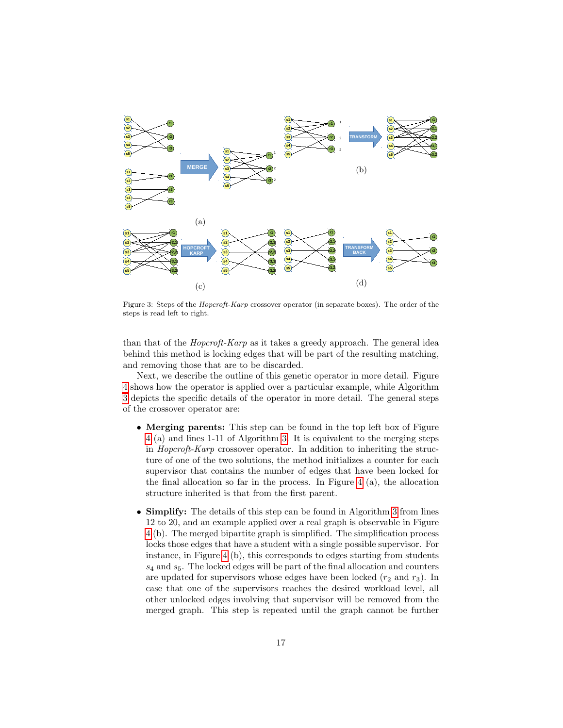<span id="page-16-0"></span>

Figure 3: Steps of the *Hopcroft-Karp* crossover operator (in separate boxes). The order of the steps is read left to right.

than that of the Hopcroft-Karp as it takes a greedy approach. The general idea behind this method is locking edges that will be part of the resulting matching, and removing those that are to be discarded.

Next, we describe the outline of this genetic operator in more detail. Figure [4](#page-18-0) shows how the operator is applied over a particular example, while Algorithm [3](#page-19-0) depicts the specific details of the operator in more detail. The general steps of the crossover operator are:

- Merging parents: This step can be found in the top left box of Figure [4](#page-18-0) (a) and lines 1-11 of Algorithm [3.](#page-19-0) It is equivalent to the merging steps in Hopcroft-Karp crossover operator. In addition to inheriting the structure of one of the two solutions, the method initializes a counter for each supervisor that contains the number of edges that have been locked for the final allocation so far in the process. In Figure [4](#page-18-0) (a), the allocation structure inherited is that from the first parent.
- Simplify: The details of this step can be found in Algorithm [3](#page-19-0) from lines 12 to 20, and an example applied over a real graph is observable in Figure [4](#page-18-0) (b). The merged bipartite graph is simplified. The simplification process locks those edges that have a student with a single possible supervisor. For instance, in Figure [4](#page-18-0) (b), this corresponds to edges starting from students  $s_4$  and  $s_5$ . The locked edges will be part of the final allocation and counters are updated for supervisors whose edges have been locked  $(r_2 \text{ and } r_3)$ . In case that one of the supervisors reaches the desired workload level, all other unlocked edges involving that supervisor will be removed from the merged graph. This step is repeated until the graph cannot be further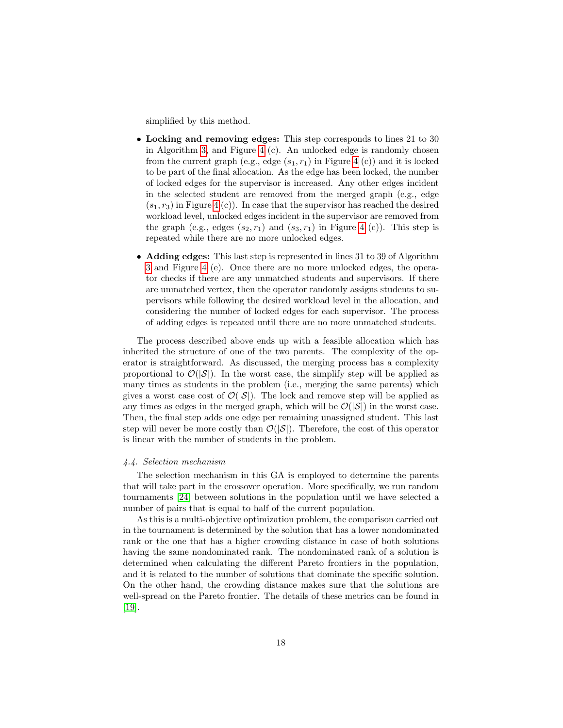simplified by this method.

- Locking and removing edges: This step corresponds to lines 21 to 30 in Algorithm [3,](#page-19-0) and Figure [4](#page-18-0) (c). An unlocked edge is randomly chosen from the current graph (e.g., edge  $(s_1, r_1)$  in Figure [4](#page-18-0) (c)) and it is locked to be part of the final allocation. As the edge has been locked, the number of locked edges for the supervisor is increased. Any other edges incident in the selected student are removed from the merged graph (e.g., edge  $(s_1, r_3)$  in Figure [4](#page-18-0) (c)). In case that the supervisor has reached the desired workload level, unlocked edges incident in the supervisor are removed from the graph (e.g., edges  $(s_2, r_1)$  and  $(s_3, r_1)$  in Figure [4](#page-18-0) (c)). This step is repeated while there are no more unlocked edges.
- Adding edges: This last step is represented in lines 31 to 39 of Algorithm [3](#page-19-0) and Figure [4](#page-18-0) (e). Once there are no more unlocked edges, the operator checks if there are any unmatched students and supervisors. If there are unmatched vertex, then the operator randomly assigns students to supervisors while following the desired workload level in the allocation, and considering the number of locked edges for each supervisor. The process of adding edges is repeated until there are no more unmatched students.

The process described above ends up with a feasible allocation which has inherited the structure of one of the two parents. The complexity of the operator is straightforward. As discussed, the merging process has a complexity proportional to  $\mathcal{O}(|\mathcal{S}|)$ . In the worst case, the simplify step will be applied as many times as students in the problem (i.e., merging the same parents) which gives a worst case cost of  $\mathcal{O}(|\mathcal{S}|)$ . The lock and remove step will be applied as any times as edges in the merged graph, which will be  $\mathcal{O}(|\mathcal{S}|)$  in the worst case. Then, the final step adds one edge per remaining unassigned student. This last step will never be more costly than  $\mathcal{O}(|\mathcal{S}|)$ . Therefore, the cost of this operator is linear with the number of students in the problem.

# 4.4. Selection mechanism

The selection mechanism in this GA is employed to determine the parents that will take part in the crossover operation. More specifically, we run random tournaments [\[24\]](#page-33-7) between solutions in the population until we have selected a number of pairs that is equal to half of the current population.

As this is a multi-objective optimization problem, the comparison carried out in the tournament is determined by the solution that has a lower nondominated rank or the one that has a higher crowding distance in case of both solutions having the same nondominated rank. The nondominated rank of a solution is determined when calculating the different Pareto frontiers in the population, and it is related to the number of solutions that dominate the specific solution. On the other hand, the crowding distance makes sure that the solutions are well-spread on the Pareto frontier. The details of these metrics can be found in [\[19\]](#page-33-2).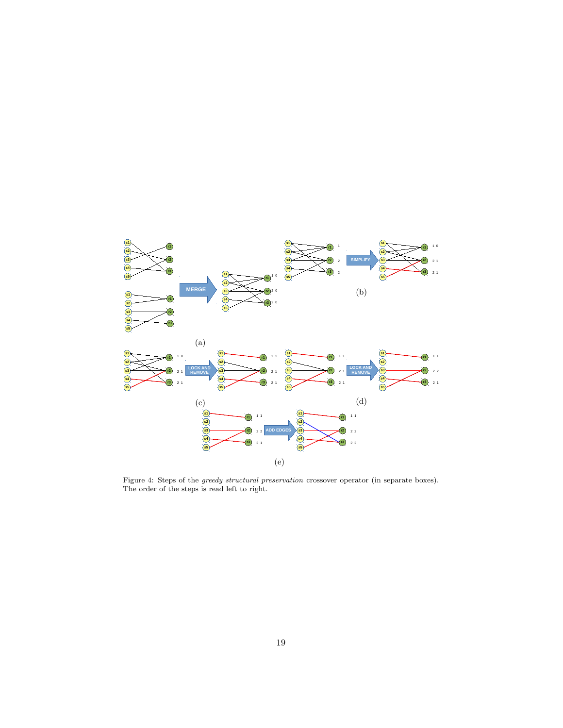<span id="page-18-0"></span>

Figure 4: Steps of the *greedy structural preservation* crossover operator (in separate boxes). The order of the steps is read left to right.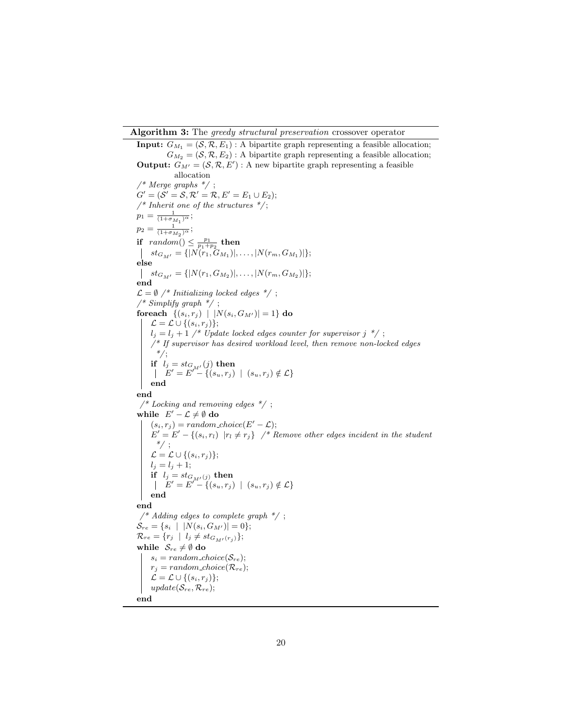Algorithm 3: The greedy structural preservation crossover operator

<span id="page-19-0"></span>**Input:**  $G_{M_1} = (\mathcal{S}, \mathcal{R}, E_1)$ : A bipartite graph representing a feasible allocation;  $G_{M_2} = (\mathcal{S}, \mathcal{R}, E_2)$ : A bipartite graph representing a feasible allocation; **Output:**  $G_{M'} = (\mathcal{S}, \mathcal{R}, E')$ : A new bipartite graph representing a feasible allocation  $/*$  Merge graphs  $*/$ ;  $G' = (\mathcal{S}' = \mathcal{S}, \mathcal{R}' = \mathcal{R}, E' = E_1 \cup E_2);$ /\* Inherit one of the structures  $\frac{*}{\cdot}$ ;  $p_1 = \frac{1}{(1+\sigma_{M_1})^{\alpha}};$  $p_2 = \frac{1}{(1+\sigma_{M_2})^{\alpha}};$ if  $\text{random}() \leq \frac{p_1}{p_1 + p_2}$  then  $st_{G_{M'}} = \{ |N(r_1, G_{M_1})|, \ldots, |N(r_m, G_{M_1})| \};$ else  $st_{G_{M'}} = \{ |N(r_1, G_{M_2})|, \ldots, |N(r_m, G_{M_2})| \};$ end  $\mathcal{L} = \emptyset$  /\* Initializing locked edges \*/;  $\frac{1}{2}$  Simplify graph  $\frac{*}{2}$ foreach  $\{(s_i, r_j) | |N(s_i, G_{M'})|=1\}$  do  $\mathcal{L} = \mathcal{L} \cup \{(s_i, r_j)\};$  $l_j = l_j + 1$  /\* Update locked edges counter for supervisor j \*/;  $/*$  If supervisor has desired workload level, then remove non-locked edges  $*$ /;  $\quad \textbf{if} \hspace{0.2cm} l_j = st_{G_{M'}}(j) \textbf{ then}$  $E' = E'^{n} - \{(s_u, r_j) \mid (s_u, r_j) \notin \mathcal{L}\}\$ end end  $\frac{1}{2}$  Locking and removing edges  $\frac{*}{2}$ ; while  $E' - \mathcal{L} \neq \emptyset$  do  $(s_i, r_j) = random\_choice(E' - \mathcal{L});$  $E' = E' - \{(s_i, r_l) | r_l \neq r_j\}$  /\* Remove other edges incident in the student  $*/$ ;  $\mathcal{L} = \mathcal{L} \cup \{(s_i, r_j)\};$  $l_j = l_j + 1;$  $\begin{array}{ll} \textbf{if} \;\; l_j = st_{G_{M'}(j)} \; \textbf{then} \ \;\;\;\;\;\;\;\;\; \mid \;\; E' = E' - \{(s_u, r_j) \; \mid \; (s_u, r_j) \notin \mathcal{L}\} \end{array}$ end end  $\frac{1}{2}$  Adding edges to complete graph  $\frac{*}{2}$ ;  $S_{re} = \{s_i \mid |N(s_i, G_{M'})| = 0\};$  $\mathcal{R}_{re} = \{r_j \mid l_j \neq st_{G_M}(r_i)\};$ while  $S_{re} \neq \emptyset$  do  $s_i = random\_choice(\mathcal{S}_{re});$  $r_i = random\_choice(\mathcal{R}_{re});$  $\mathcal{L} = \mathcal{L} \cup \{(s_i, r_j)\};$  $update(\mathcal{S}_{re}, \mathcal{R}_{re});$ end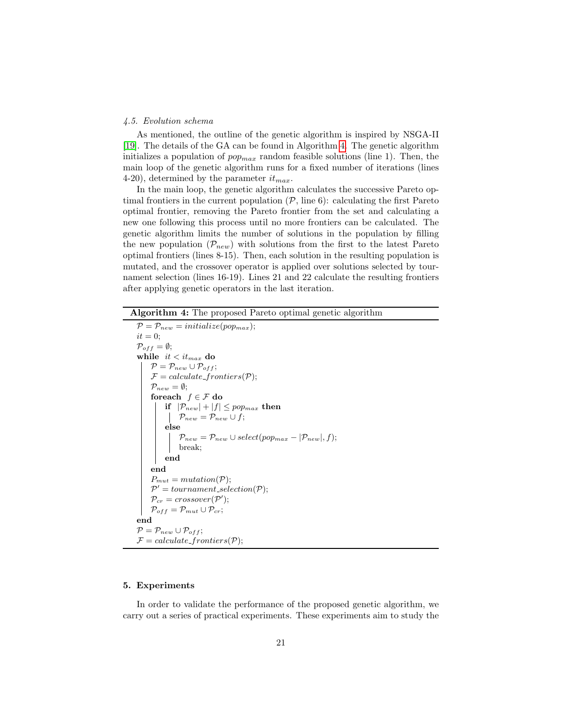## 4.5. Evolution schema

As mentioned, the outline of the genetic algorithm is inspired by NSGA-II [\[19\]](#page-33-2). The details of the GA can be found in Algorithm [4.](#page-20-1) The genetic algorithm initializes a population of  $pop_{max}$  random feasible solutions (line 1). Then, the main loop of the genetic algorithm runs for a fixed number of iterations (lines 4-20), determined by the parameter  $it_{max}$ .

In the main loop, the genetic algorithm calculates the successive Pareto optimal frontiers in the current population  $(\mathcal{P}, \text{line } 6)$ : calculating the first Pareto optimal frontier, removing the Pareto frontier from the set and calculating a new one following this process until no more frontiers can be calculated. The genetic algorithm limits the number of solutions in the population by filling the new population  $(\mathcal{P}_{new})$  with solutions from the first to the latest Pareto optimal frontiers (lines 8-15). Then, each solution in the resulting population is mutated, and the crossover operator is applied over solutions selected by tournament selection (lines 16-19). Lines 21 and 22 calculate the resulting frontiers after applying genetic operators in the last iteration.

Algorithm 4: The proposed Pareto optimal genetic algorithm

```
P = P_{new} = initialize(pop_{max});it = 0;\mathcal{P}_{off} = \emptyset;while it < it_{max} do
     P = P_{new} \cup P_{off};\mathcal{F} = calculate\_frontiers(\mathcal{P});\mathcal{P}_{new} = \emptyset;for each f \in \mathcal{F} do
           if |\mathcal{P}_{new}| + |f| \leq pop_{max} then
              \big| \mathcal{P}_{new} = \mathcal{P}_{new} \cup f;else
                  \mathcal{P}_{new} = \mathcal{P}_{new} \cup select(pop_{max} - |\mathcal{P}_{new}|, f);break;
           end
      end
      P_{mut} = mutation(\mathcal{P});P' = tournament\_selection(P);\mathcal{P}_{cr} = \text{crossover}(\mathcal{P}');\mathcal{P}_{off} = \mathcal{P}_{mut} \cup \mathcal{P}_{cr};end
P = P_{new} \cup P_{off};\mathcal{F} = calculate\_frontiers(\mathcal{P});
```
## <span id="page-20-1"></span><span id="page-20-0"></span>5. Experiments

In order to validate the performance of the proposed genetic algorithm, we carry out a series of practical experiments. These experiments aim to study the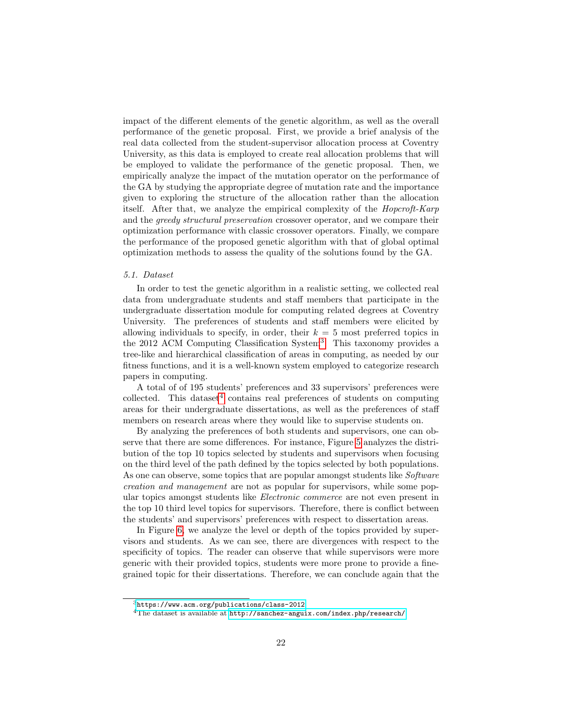impact of the different elements of the genetic algorithm, as well as the overall performance of the genetic proposal. First, we provide a brief analysis of the real data collected from the student-supervisor allocation process at Coventry University, as this data is employed to create real allocation problems that will be employed to validate the performance of the genetic proposal. Then, we empirically analyze the impact of the mutation operator on the performance of the GA by studying the appropriate degree of mutation rate and the importance given to exploring the structure of the allocation rather than the allocation itself. After that, we analyze the empirical complexity of the Hopcroft-Karp and the greedy structural preservation crossover operator, and we compare their optimization performance with classic crossover operators. Finally, we compare the performance of the proposed genetic algorithm with that of global optimal optimization methods to assess the quality of the solutions found by the GA.

## 5.1. Dataset

In order to test the genetic algorithm in a realistic setting, we collected real data from undergraduate students and staff members that participate in the undergraduate dissertation module for computing related degrees at Coventry University. The preferences of students and staff members were elicited by allowing individuals to specify, in order, their  $k = 5$  most preferred topics in the 2012 ACM Computing Classification System<sup>[3](#page-21-0)</sup>. This taxonomy provides a tree-like and hierarchical classification of areas in computing, as needed by our fitness functions, and it is a well-known system employed to categorize research papers in computing.

A total of of 195 students' preferences and 33 supervisors' preferences were collected. This dataset<sup>[4](#page-21-1)</sup> contains real preferences of students on computing areas for their undergraduate dissertations, as well as the preferences of staff members on research areas where they would like to supervise students on.

By analyzing the preferences of both students and supervisors, one can observe that there are some differences. For instance, Figure [5](#page-22-0) analyzes the distribution of the top 10 topics selected by students and supervisors when focusing on the third level of the path defined by the topics selected by both populations. As one can observe, some topics that are popular amongst students like Software creation and management are not as popular for supervisors, while some popular topics amongst students like Electronic commerce are not even present in the top 10 third level topics for supervisors. Therefore, there is conflict between the students' and supervisors' preferences with respect to dissertation areas.

In Figure [6,](#page-22-1) we analyze the level or depth of the topics provided by supervisors and students. As we can see, there are divergences with respect to the specificity of topics. The reader can observe that while supervisors were more generic with their provided topics, students were more prone to provide a finegrained topic for their dissertations. Therefore, we can conclude again that the

<span id="page-21-0"></span><sup>3</sup><https://www.acm.org/publications/class-2012>

<span id="page-21-1"></span><sup>4</sup>The dataset is available at <http://sanchez-anguix.com/index.php/research/>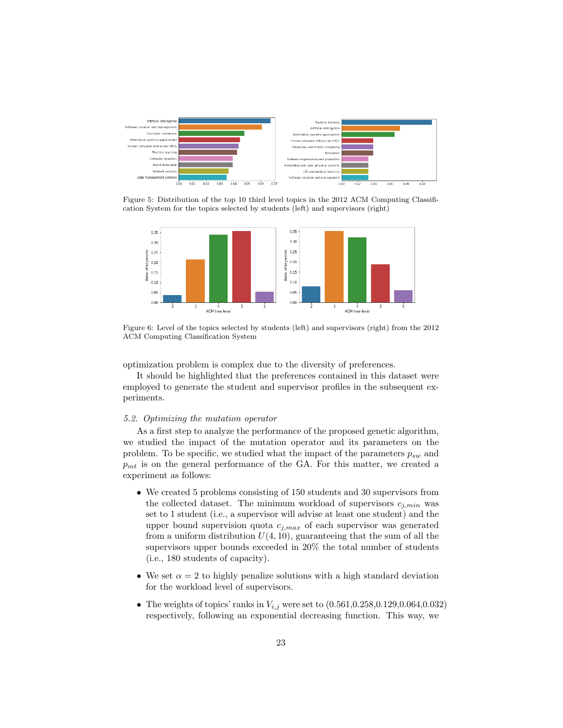<span id="page-22-0"></span>

Figure 5: Distribution of the top 10 third level topics in the 2012 ACM Computing Classification System for the topics selected by students (left) and supervisors (right)

<span id="page-22-1"></span>

Figure 6: Level of the topics selected by students (left) and supervisors (right) from the 2012 ACM Computing Classification System

optimization problem is complex due to the diversity of preferences.

It should be highlighted that the preferences contained in this dataset were employed to generate the student and supervisor profiles in the subsequent experiments.

## 5.2. Optimizing the mutation operator

As a first step to analyze the performance of the proposed genetic algorithm, we studied the impact of the mutation operator and its parameters on the problem. To be specific, we studied what the impact of the parameters  $p_{sw}$  and  $p_{mt}$  is on the general performance of the GA. For this matter, we created a experiment as follows:

- We created 5 problems consisting of 150 students and 30 supervisors from the collected dataset. The minimum workload of supervisors  $c_{j,min}$  was set to 1 student (i.e., a supervisor will advise at least one student) and the upper bound supervision quota  $c_{j,max}$  of each supervisor was generated from a uniform distribution  $U(4, 10)$ , guaranteeing that the sum of all the supervisors upper bounds exceeded in 20% the total number of students (i.e., 180 students of capacity).
- We set  $\alpha = 2$  to highly penalize solutions with a high standard deviation for the workload level of supervisors.
- The weights of topics' ranks in  $V_{i,j}$  were set to  $(0.561, 0.258, 0.129, 0.064, 0.032)$ respectively, following an exponential decreasing function. This way, we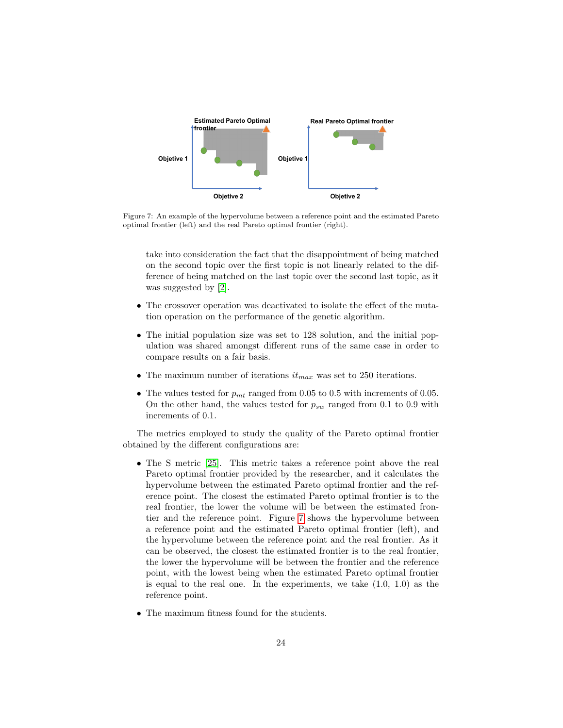<span id="page-23-0"></span>

Figure 7: An example of the hypervolume between a reference point and the estimated Pareto optimal frontier (left) and the real Pareto optimal frontier (right).

take into consideration the fact that the disappointment of being matched on the second topic over the first topic is not linearly related to the difference of being matched on the last topic over the second last topic, as it was suggested by [\[2\]](#page-31-1).

- The crossover operation was deactivated to isolate the effect of the mutation operation on the performance of the genetic algorithm.
- The initial population size was set to 128 solution, and the initial population was shared amongst different runs of the same case in order to compare results on a fair basis.
- The maximum number of iterations  $it_{max}$  was set to 250 iterations.
- The values tested for  $p_{mt}$  ranged from 0.05 to 0.5 with increments of 0.05. On the other hand, the values tested for  $p_{sw}$  ranged from 0.1 to 0.9 with increments of 0.1.

The metrics employed to study the quality of the Pareto optimal frontier obtained by the different configurations are:

- The S metric [\[25\]](#page-33-8). This metric takes a reference point above the real Pareto optimal frontier provided by the researcher, and it calculates the hypervolume between the estimated Pareto optimal frontier and the reference point. The closest the estimated Pareto optimal frontier is to the real frontier, the lower the volume will be between the estimated frontier and the reference point. Figure [7](#page-23-0) shows the hypervolume between a reference point and the estimated Pareto optimal frontier (left), and the hypervolume between the reference point and the real frontier. As it can be observed, the closest the estimated frontier is to the real frontier, the lower the hypervolume will be between the frontier and the reference point, with the lowest being when the estimated Pareto optimal frontier is equal to the real one. In the experiments, we take (1.0, 1.0) as the reference point.
- The maximum fitness found for the students.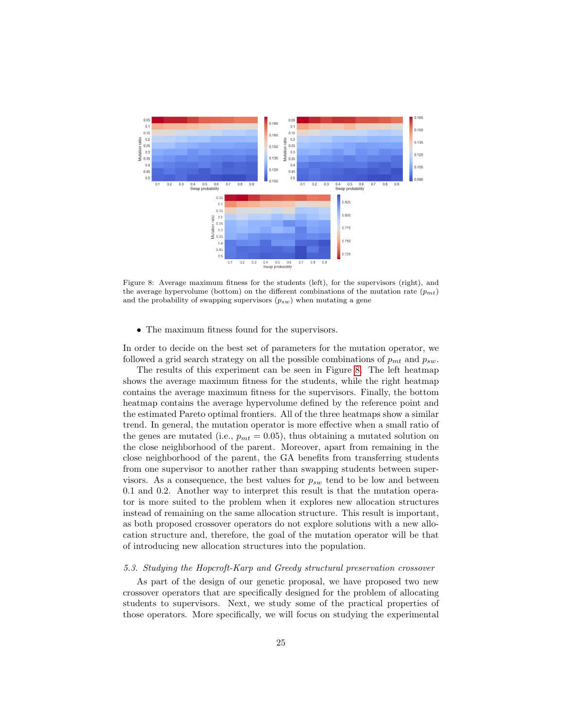<span id="page-24-0"></span>

Figure 8: Average maximum fitness for the students (left), for the supervisors (right), and the average hypervolume (bottom) on the different combinations of the mutation rate  $(p_{mt})$ and the probability of swapping supervisors  $(p_{sw})$  when mutating a gene

• The maximum fitness found for the supervisors.

In order to decide on the best set of parameters for the mutation operator, we followed a grid search strategy on all the possible combinations of  $p_{mt}$  and  $p_{sw}$ .

The results of this experiment can be seen in Figure [8.](#page-24-0) The left heatmap shows the average maximum fitness for the students, while the right heatmap contains the average maximum fitness for the supervisors. Finally, the bottom heatmap contains the average hypervolume defined by the reference point and the estimated Pareto optimal frontiers. All of the three heatmaps show a similar trend. In general, the mutation operator is more effective when a small ratio of the genes are mutated (i.e.,  $p_{mt} = 0.05$ ), thus obtaining a mutated solution on the close neighborhood of the parent. Moreover, apart from remaining in the close neighborhood of the parent, the GA benefits from transferring students from one supervisor to another rather than swapping students between supervisors. As a consequence, the best values for  $p_{sw}$  tend to be low and between 0.1 and 0.2. Another way to interpret this result is that the mutation operator is more suited to the problem when it explores new allocation structures instead of remaining on the same allocation structure. This result is important, as both proposed crossover operators do not explore solutions with a new allocation structure and, therefore, the goal of the mutation operator will be that of introducing new allocation structures into the population.

## 5.3. Studying the Hopcroft-Karp and Greedy structural preservation crossover

As part of the design of our genetic proposal, we have proposed two new crossover operators that are specifically designed for the problem of allocating students to supervisors. Next, we study some of the practical properties of those operators. More specifically, we will focus on studying the experimental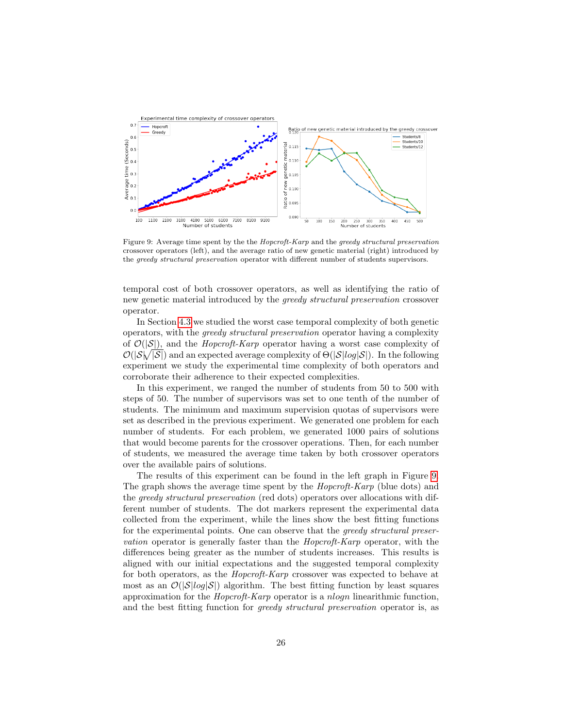<span id="page-25-0"></span>

Figure 9: Average time spent by the the Hopcroft-Karp and the greedy structural preservation crossover operators (left), and the average ratio of new genetic material (right) introduced by the greedy structural preservation operator with different number of students supervisors.

temporal cost of both crossover operators, as well as identifying the ratio of new genetic material introduced by the greedy structural preservation crossover operator.

In Section [4.3](#page-13-1) we studied the worst case temporal complexity of both genetic operators, with the greedy structural preservation operator having a complexity of  $\mathcal{O}(|\mathcal{S}|)$ , and the *Hopcroft-Karp* operator having a worst case complexity of  $\mathcal{O}(|\mathcal{S}|\sqrt{|\mathcal{S}|})$  and an expected average complexity of  $\Theta(|\mathcal{S}|log|\mathcal{S}|)$ . In the following experiment we study the experimental time complexity of both operators and corroborate their adherence to their expected complexities.

In this experiment, we ranged the number of students from 50 to 500 with steps of 50. The number of supervisors was set to one tenth of the number of students. The minimum and maximum supervision quotas of supervisors were set as described in the previous experiment. We generated one problem for each number of students. For each problem, we generated 1000 pairs of solutions that would become parents for the crossover operations. Then, for each number of students, we measured the average time taken by both crossover operators over the available pairs of solutions.

The results of this experiment can be found in the left graph in Figure [9.](#page-25-0) The graph shows the average time spent by the Hopcroft-Karp (blue dots) and the greedy structural preservation (red dots) operators over allocations with different number of students. The dot markers represent the experimental data collected from the experiment, while the lines show the best fitting functions for the experimental points. One can observe that the greedy structural preservation operator is generally faster than the *Hopcroft-Karp* operator, with the differences being greater as the number of students increases. This results is aligned with our initial expectations and the suggested temporal complexity for both operators, as the Hopcroft-Karp crossover was expected to behave at most as an  $\mathcal{O}(|\mathcal{S}| \log |\mathcal{S}|)$  algorithm. The best fitting function by least squares approximation for the Hopcroft-Karp operator is a nlogn linearithmic function, and the best fitting function for greedy structural preservation operator is, as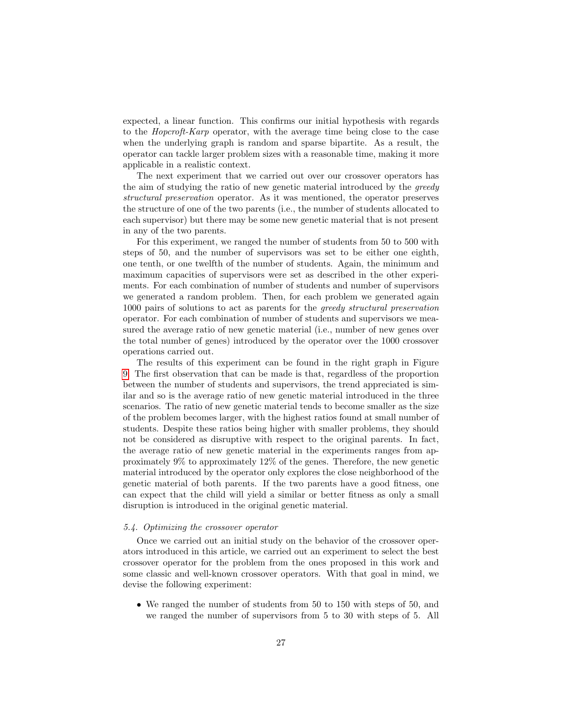expected, a linear function. This confirms our initial hypothesis with regards to the Hopcroft-Karp operator, with the average time being close to the case when the underlying graph is random and sparse bipartite. As a result, the operator can tackle larger problem sizes with a reasonable time, making it more applicable in a realistic context.

The next experiment that we carried out over our crossover operators has the aim of studying the ratio of new genetic material introduced by the *greedy* structural preservation operator. As it was mentioned, the operator preserves the structure of one of the two parents (i.e., the number of students allocated to each supervisor) but there may be some new genetic material that is not present in any of the two parents.

For this experiment, we ranged the number of students from 50 to 500 with steps of 50, and the number of supervisors was set to be either one eighth, one tenth, or one twelfth of the number of students. Again, the minimum and maximum capacities of supervisors were set as described in the other experiments. For each combination of number of students and number of supervisors we generated a random problem. Then, for each problem we generated again 1000 pairs of solutions to act as parents for the greedy structural preservation operator. For each combination of number of students and supervisors we measured the average ratio of new genetic material (i.e., number of new genes over the total number of genes) introduced by the operator over the 1000 crossover operations carried out.

The results of this experiment can be found in the right graph in Figure [9.](#page-25-0) The first observation that can be made is that, regardless of the proportion between the number of students and supervisors, the trend appreciated is similar and so is the average ratio of new genetic material introduced in the three scenarios. The ratio of new genetic material tends to become smaller as the size of the problem becomes larger, with the highest ratios found at small number of students. Despite these ratios being higher with smaller problems, they should not be considered as disruptive with respect to the original parents. In fact, the average ratio of new genetic material in the experiments ranges from approximately 9% to approximately 12% of the genes. Therefore, the new genetic material introduced by the operator only explores the close neighborhood of the genetic material of both parents. If the two parents have a good fitness, one can expect that the child will yield a similar or better fitness as only a small disruption is introduced in the original genetic material.

## 5.4. Optimizing the crossover operator

Once we carried out an initial study on the behavior of the crossover operators introduced in this article, we carried out an experiment to select the best crossover operator for the problem from the ones proposed in this work and some classic and well-known crossover operators. With that goal in mind, we devise the following experiment:

• We ranged the number of students from 50 to 150 with steps of 50, and we ranged the number of supervisors from 5 to 30 with steps of 5. All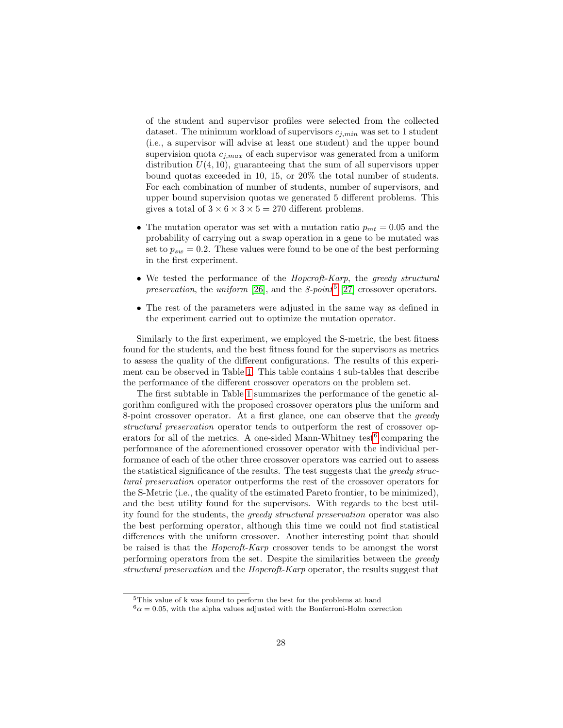of the student and supervisor profiles were selected from the collected dataset. The minimum workload of supervisors  $c_{i,min}$  was set to 1 student (i.e., a supervisor will advise at least one student) and the upper bound supervision quota  $c_{j,max}$  of each supervisor was generated from a uniform distribution  $U(4, 10)$ , guaranteeing that the sum of all supervisors upper bound quotas exceeded in 10, 15, or 20% the total number of students. For each combination of number of students, number of supervisors, and upper bound supervision quotas we generated 5 different problems. This gives a total of  $3 \times 6 \times 3 \times 5 = 270$  different problems.

- The mutation operator was set with a mutation ratio  $p_{mt} = 0.05$  and the probability of carrying out a swap operation in a gene to be mutated was set to  $p_{sw} = 0.2$ . These values were found to be one of the best performing in the first experiment.
- We tested the performance of the *Hopcroft-Karp*, the greedy structural preservation, the uniform [\[26\]](#page-33-9), and the 8-point<sup>[5](#page-27-0)</sup> [\[27\]](#page-33-10) crossover operators.
- The rest of the parameters were adjusted in the same way as defined in the experiment carried out to optimize the mutation operator.

Similarly to the first experiment, we employed the S-metric, the best fitness found for the students, and the best fitness found for the supervisors as metrics to assess the quality of the different configurations. The results of this experiment can be observed in Table [1.](#page-28-0) This table contains 4 sub-tables that describe the performance of the different crossover operators on the problem set.

The first subtable in Table [1](#page-28-0) summarizes the performance of the genetic algorithm configured with the proposed crossover operators plus the uniform and 8-point crossover operator. At a first glance, one can observe that the greedy structural preservation operator tends to outperform the rest of crossover op-erators for all of the metrics. A one-sided Mann-Whitney test<sup>[6](#page-27-1)</sup> comparing the performance of the aforementioned crossover operator with the individual performance of each of the other three crossover operators was carried out to assess the statistical significance of the results. The test suggests that the *greedy struc*tural preservation operator outperforms the rest of the crossover operators for the S-Metric (i.e., the quality of the estimated Pareto frontier, to be minimized), and the best utility found for the supervisors. With regards to the best utility found for the students, the greedy structural preservation operator was also the best performing operator, although this time we could not find statistical differences with the uniform crossover. Another interesting point that should be raised is that the *Hopcroft-Karp* crossover tends to be amongst the worst performing operators from the set. Despite the similarities between the greedy structural preservation and the Hopcroft-Karp operator, the results suggest that

<span id="page-27-0"></span><sup>5</sup>This value of k was found to perform the best for the problems at hand

<span id="page-27-1"></span> $6\alpha = 0.05$ , with the alpha values adjusted with the Bonferroni-Holm correction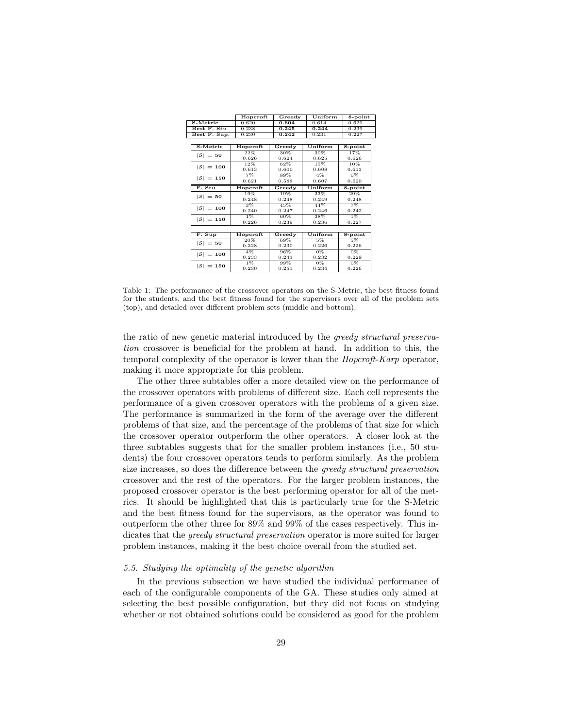<span id="page-28-0"></span>

|                      | Hopcroft       | Greedy       | Uniform        | 8-point        |
|----------------------|----------------|--------------|----------------|----------------|
| S-Metric             | 0.620          | 0.604        | 0.614          | 0.620          |
| Best F. Stu          | 0.238          | 0.245        | 0.244          | 0.239          |
| Best F. Sup.         | 0.230          | 0.242        | 0.231          | 0.227          |
|                      |                |              |                |                |
| S-Metric             | Hoperoft       | Greedy       | Uniform        | 8-point        |
| $ \mathcal{S}  = 50$ | $22\%$         | 30%          | 30%            | 17%            |
|                      | 0.626          | 0.624        | 0.625          | 0.626          |
| $ S  = 100$          | 12%            | 62%          | 15%            | 10%            |
|                      | 0.613          | 0.600        | 0.608          | 0.613          |
| $ S  = 150$          | 7%             | 89%          | $4\%$          | $0\%$          |
|                      | 0.621          | 0.588        | 0.607          | 0.620          |
| $F.$ Stu             | Hopcroft       | Greedy       | Uniform        | 8-point        |
| $ \mathcal{S} =50$   | 19%            | 19%          | 33%            | 29%            |
|                      |                | 0.248        | 0.249          | 0.248          |
|                      | 0.248          |              |                |                |
|                      | 3%             | 45%          | 44%            | $7\%$          |
| $ S  = 100$          | 0.240          | 0.247        | 0.246          | 0.242          |
|                      | $1\%$          | 60%          | 38%            | $1\%$          |
| $ S  = 150$          | 0.226          | 0.239        | 0.236          | 0.227          |
|                      |                |              |                |                |
| $F.$ Sup             | Hopcroft       | Greedy       | Uniform        | 8-point        |
|                      | 20%            | 69%          | 5%             | 5%             |
| $ \mathcal{S}  = 50$ | 0.228          | 0.230        | 0.226          | 0.226          |
|                      | $4\%$          | 96%          | $0\%$          | $0\%$          |
| $ S  = 100$          | 0.233          | 0.243        | 0.232          | 0.229          |
| $ S  = 150$          | $1\%$<br>0.230 | 99%<br>0.251 | $0\%$<br>0.234 | $0\%$<br>0.226 |

Table 1: The performance of the crossover operators on the S-Metric, the best fitness found for the students, and the best fitness found for the supervisors over all of the problem sets (top), and detailed over different problem sets (middle and bottom).

the ratio of new genetic material introduced by the greedy structural preservation crossover is beneficial for the problem at hand. In addition to this, the temporal complexity of the operator is lower than the Hopcroft-Karp operator, making it more appropriate for this problem.

The other three subtables offer a more detailed view on the performance of the crossover operators with problems of different size. Each cell represents the performance of a given crossover operators with the problems of a given size. The performance is summarized in the form of the average over the different problems of that size, and the percentage of the problems of that size for which the crossover operator outperform the other operators. A closer look at the three subtables suggests that for the smaller problem instances (i.e., 50 students) the four crossover operators tends to perform similarly. As the problem size increases, so does the difference between the greedy structural preservation crossover and the rest of the operators. For the larger problem instances, the proposed crossover operator is the best performing operator for all of the metrics. It should be highlighted that this is particularly true for the S-Metric and the best fitness found for the supervisors, as the operator was found to outperform the other three for 89% and 99% of the cases respectively. This indicates that the greedy structural preservation operator is more suited for larger problem instances, making it the best choice overall from the studied set.

## 5.5. Studying the optimality of the genetic algorithm

In the previous subsection we have studied the individual performance of each of the configurable components of the GA. These studies only aimed at selecting the best possible configuration, but they did not focus on studying whether or not obtained solutions could be considered as good for the problem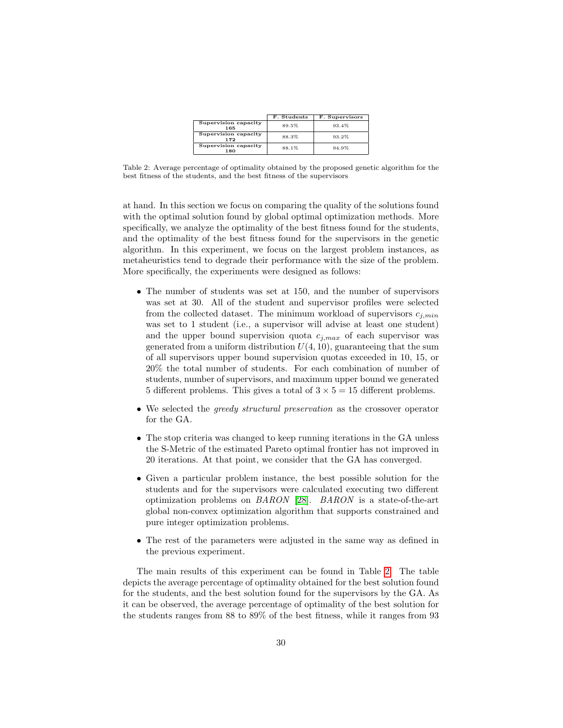|                             | F. Students | F. Supervisors |
|-----------------------------|-------------|----------------|
| Supervision capacity<br>165 | 89.5%       | 93.4%          |
| Supervision capacity<br>172 | 88.3%       | 93.2%          |
| Supervision capacity<br>180 | 88.1%       | 94.9%          |

<span id="page-29-0"></span>Table 2: Average percentage of optimality obtained by the proposed genetic algorithm for the best fitness of the students, and the best fitness of the supervisors

at hand. In this section we focus on comparing the quality of the solutions found with the optimal solution found by global optimal optimization methods. More specifically, we analyze the optimality of the best fitness found for the students, and the optimality of the best fitness found for the supervisors in the genetic algorithm. In this experiment, we focus on the largest problem instances, as metaheuristics tend to degrade their performance with the size of the problem. More specifically, the experiments were designed as follows:

- The number of students was set at 150, and the number of supervisors was set at 30. All of the student and supervisor profiles were selected from the collected dataset. The minimum workload of supervisors  $c_{j,min}$ was set to 1 student (i.e., a supervisor will advise at least one student) and the upper bound supervision quota  $c_{j,max}$  of each supervisor was generated from a uniform distribution  $U(4, 10)$ , guaranteeing that the sum of all supervisors upper bound supervision quotas exceeded in 10, 15, or 20% the total number of students. For each combination of number of students, number of supervisors, and maximum upper bound we generated 5 different problems. This gives a total of  $3 \times 5 = 15$  different problems.
- We selected the *greedy structural preservation* as the crossover operator for the GA.
- The stop criteria was changed to keep running iterations in the GA unless the S-Metric of the estimated Pareto optimal frontier has not improved in 20 iterations. At that point, we consider that the GA has converged.
- Given a particular problem instance, the best possible solution for the students and for the supervisors were calculated executing two different optimization problems on BARON [\[28\]](#page-33-11). BARON is a state-of-the-art global non-convex optimization algorithm that supports constrained and pure integer optimization problems.
- The rest of the parameters were adjusted in the same way as defined in the previous experiment.

The main results of this experiment can be found in Table [2.](#page-29-0) The table depicts the average percentage of optimality obtained for the best solution found for the students, and the best solution found for the supervisors by the GA. As it can be observed, the average percentage of optimality of the best solution for the students ranges from 88 to 89% of the best fitness, while it ranges from 93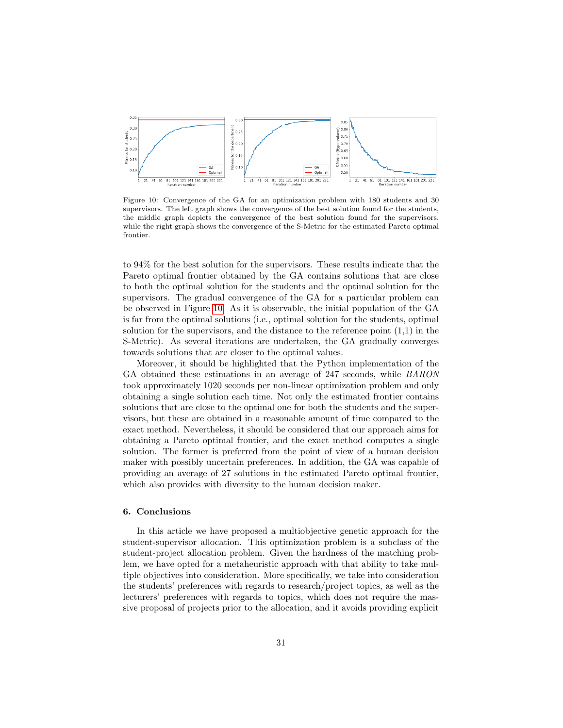<span id="page-30-1"></span>

Figure 10: Convergence of the GA for an optimization problem with 180 students and 30 supervisors. The left graph shows the convergence of the best solution found for the students, the middle graph depicts the convergence of the best solution found for the supervisors, while the right graph shows the convergence of the S-Metric for the estimated Pareto optimal frontier.

to 94% for the best solution for the supervisors. These results indicate that the Pareto optimal frontier obtained by the GA contains solutions that are close to both the optimal solution for the students and the optimal solution for the supervisors. The gradual convergence of the GA for a particular problem can be observed in Figure [10.](#page-30-1) As it is observable, the initial population of the GA is far from the optimal solutions (i.e., optimal solution for the students, optimal solution for the supervisors, and the distance to the reference point  $(1,1)$  in the S-Metric). As several iterations are undertaken, the GA gradually converges towards solutions that are closer to the optimal values.

Moreover, it should be highlighted that the Python implementation of the GA obtained these estimations in an average of 247 seconds, while BARON took approximately 1020 seconds per non-linear optimization problem and only obtaining a single solution each time. Not only the estimated frontier contains solutions that are close to the optimal one for both the students and the supervisors, but these are obtained in a reasonable amount of time compared to the exact method. Nevertheless, it should be considered that our approach aims for obtaining a Pareto optimal frontier, and the exact method computes a single solution. The former is preferred from the point of view of a human decision maker with possibly uncertain preferences. In addition, the GA was capable of providing an average of 27 solutions in the estimated Pareto optimal frontier, which also provides with diversity to the human decision maker.

## <span id="page-30-0"></span>6. Conclusions

In this article we have proposed a multiobjective genetic approach for the student-supervisor allocation. This optimization problem is a subclass of the student-project allocation problem. Given the hardness of the matching problem, we have opted for a metaheuristic approach with that ability to take multiple objectives into consideration. More specifically, we take into consideration the students' preferences with regards to research/project topics, as well as the lecturers' preferences with regards to topics, which does not require the massive proposal of projects prior to the allocation, and it avoids providing explicit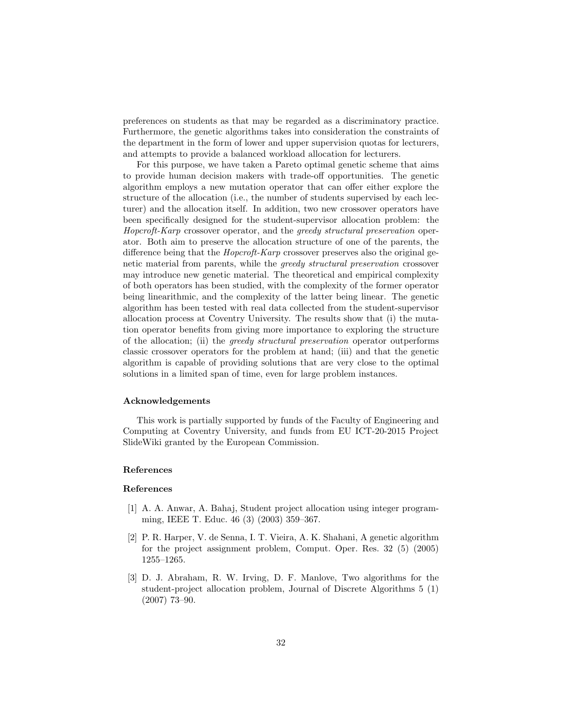preferences on students as that may be regarded as a discriminatory practice. Furthermore, the genetic algorithms takes into consideration the constraints of the department in the form of lower and upper supervision quotas for lecturers, and attempts to provide a balanced workload allocation for lecturers.

For this purpose, we have taken a Pareto optimal genetic scheme that aims to provide human decision makers with trade-off opportunities. The genetic algorithm employs a new mutation operator that can offer either explore the structure of the allocation (i.e., the number of students supervised by each lecturer) and the allocation itself. In addition, two new crossover operators have been specifically designed for the student-supervisor allocation problem: the Hopcroft-Karp crossover operator, and the greedy structural preservation operator. Both aim to preserve the allocation structure of one of the parents, the difference being that the *Hopcroft-Karp* crossover preserves also the original genetic material from parents, while the greedy structural preservation crossover may introduce new genetic material. The theoretical and empirical complexity of both operators has been studied, with the complexity of the former operator being linearithmic, and the complexity of the latter being linear. The genetic algorithm has been tested with real data collected from the student-supervisor allocation process at Coventry University. The results show that (i) the mutation operator benefits from giving more importance to exploring the structure of the allocation; (ii) the greedy structural preservation operator outperforms classic crossover operators for the problem at hand; (iii) and that the genetic algorithm is capable of providing solutions that are very close to the optimal solutions in a limited span of time, even for large problem instances.

## Acknowledgements

This work is partially supported by funds of the Faculty of Engineering and Computing at Coventry University, and funds from EU ICT-20-2015 Project SlideWiki granted by the European Commission.

## References

## References

- <span id="page-31-0"></span>[1] A. A. Anwar, A. Bahaj, Student project allocation using integer programming, IEEE T. Educ. 46 (3) (2003) 359–367.
- <span id="page-31-1"></span>[2] P. R. Harper, V. de Senna, I. T. Vieira, A. K. Shahani, A genetic algorithm for the project assignment problem, Comput. Oper. Res. 32 (5) (2005) 1255–1265.
- <span id="page-31-2"></span>[3] D. J. Abraham, R. W. Irving, D. F. Manlove, Two algorithms for the student-project allocation problem, Journal of Discrete Algorithms 5 (1) (2007) 73–90.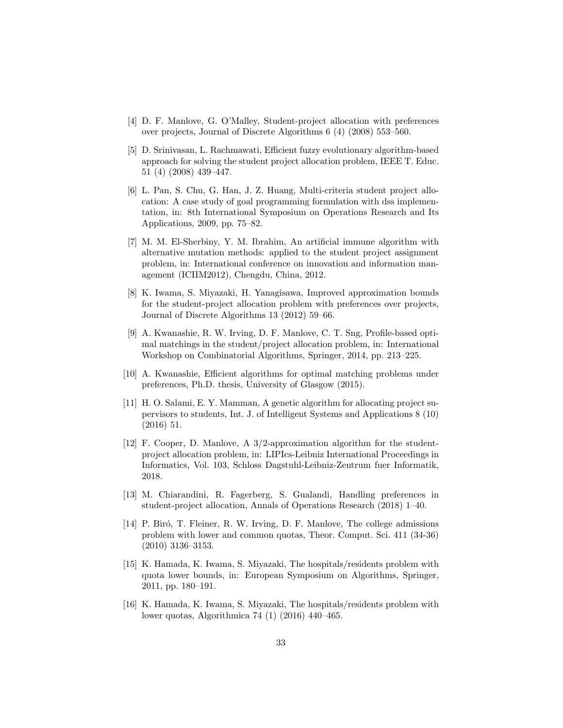- <span id="page-32-0"></span>[4] D. F. Manlove, G. O'Malley, Student-project allocation with preferences over projects, Journal of Discrete Algorithms 6 (4) (2008) 553–560.
- <span id="page-32-1"></span>[5] D. Srinivasan, L. Rachmawati, Efficient fuzzy evolutionary algorithm-based approach for solving the student project allocation problem, IEEE T. Educ. 51 (4) (2008) 439–447.
- <span id="page-32-2"></span>[6] L. Pan, S. Chu, G. Han, J. Z. Huang, Multi-criteria student project allocation: A case study of goal programming formulation with dss implementation, in: 8th International Symposium on Operations Research and Its Applications, 2009, pp. 75–82.
- <span id="page-32-3"></span>[7] M. M. El-Sherbiny, Y. M. Ibrahim, An artificial immune algorithm with alternative mutation methods: applied to the student project assignment problem, in: International conference on innovation and information management (ICIIM2012), Chengdu, China, 2012.
- <span id="page-32-4"></span>[8] K. Iwama, S. Miyazaki, H. Yanagisawa, Improved approximation bounds for the student-project allocation problem with preferences over projects, Journal of Discrete Algorithms 13 (2012) 59–66.
- <span id="page-32-5"></span>[9] A. Kwanashie, R. W. Irving, D. F. Manlove, C. T. Sng, Profile-based optimal matchings in the student/project allocation problem, in: International Workshop on Combinatorial Algorithms, Springer, 2014, pp. 213–225.
- <span id="page-32-6"></span>[10] A. Kwanashie, Efficient algorithms for optimal matching problems under preferences, Ph.D. thesis, University of Glasgow (2015).
- <span id="page-32-7"></span>[11] H. O. Salami, E. Y. Mamman, A genetic algorithm for allocating project supervisors to students, Int. J. of Intelligent Systems and Applications 8 (10) (2016) 51.
- <span id="page-32-8"></span>[12] F. Cooper, D. Manlove, A 3/2-approximation algorithm for the studentproject allocation problem, in: LIPIcs-Leibniz International Proceedings in Informatics, Vol. 103, Schloss Dagstuhl-Leibniz-Zentrum fuer Informatik, 2018.
- <span id="page-32-9"></span>[13] M. Chiarandini, R. Fagerberg, S. Gualandi, Handling preferences in student-project allocation, Annals of Operations Research (2018) 1–40.
- <span id="page-32-10"></span>[14] P. Biró, T. Fleiner, R. W. Irving, D. F. Manlove, The college admissions problem with lower and common quotas, Theor. Comput. Sci. 411 (34-36) (2010) 3136–3153.
- <span id="page-32-11"></span>[15] K. Hamada, K. Iwama, S. Miyazaki, The hospitals/residents problem with quota lower bounds, in: European Symposium on Algorithms, Springer, 2011, pp. 180–191.
- <span id="page-32-12"></span>[16] K. Hamada, K. Iwama, S. Miyazaki, The hospitals/residents problem with lower quotas, Algorithmica 74 (1) (2016) 440–465.